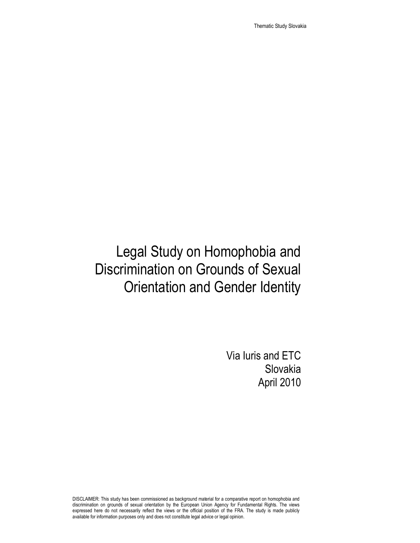Thematic Study Slovakia

# Legal Study on Homophobia and Discrimination on Grounds of Sexual Orientation and Gender Identity

Via Iuris and ETC Slovakia April 2010

DISCLAIMER: This study has been commissioned as background material for a comparative report on homophobia and discrimination on grounds of sexual orientation by the European Union Agency for Fundamental Rights. The views expressed here do not necessarily reflect the views or the official position of the FRA. The study is made publicly available for information purposes only and does not constitute legal advice or legal opinion.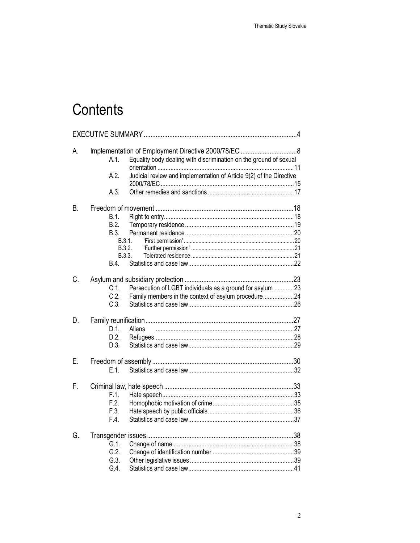# Contents

| A. | Equality body dealing with discrimination on the ground of sexual<br>A.1.<br>Judicial review and implementation of Article 9(2) of the Directive<br>A.2.<br>A.3. |
|----|------------------------------------------------------------------------------------------------------------------------------------------------------------------|
| В. | B.1.<br>B.2.<br>B.3.<br>B.3.1.<br>B.3.2.<br>B.3.3.<br>B.4.                                                                                                       |
| C. | $C.1$ .<br>Persecution of LGBT individuals as a ground for asylum 23<br>C.2.<br>Family members in the context of asylum procedure24<br>C.3.                      |
| D. | D.1.<br>Aliens<br>D.2.<br>D.3.                                                                                                                                   |
| Е. | E.1                                                                                                                                                              |
| F. | F.1.<br>F.2.<br>F.3.<br>F.4.                                                                                                                                     |
| G. | $G.1$ .<br>G.2.<br>G.3.<br>G.4.                                                                                                                                  |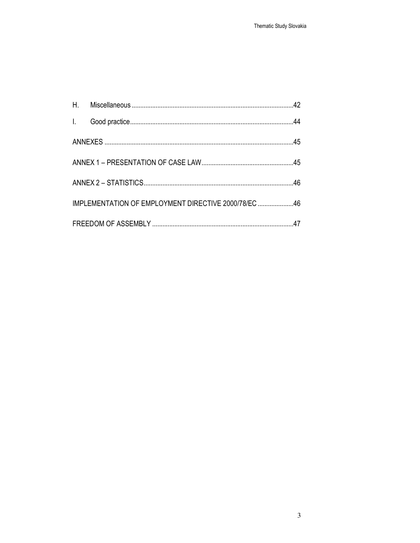| IMPLEMENTATION OF EMPLOYMENT DIRECTIVE 2000/78/EC 46 |  |
|------------------------------------------------------|--|
|                                                      |  |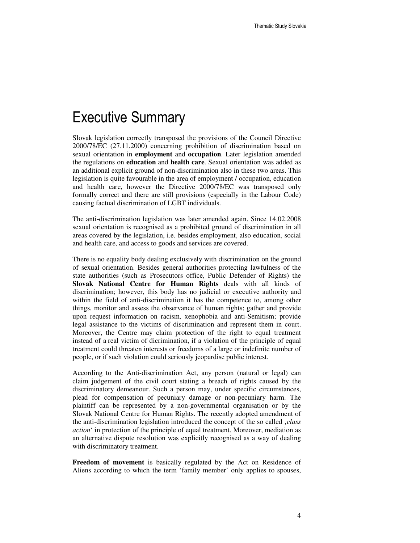### Executive Summary

Slovak legislation correctly transposed the provisions of the Council Directive 2000/78/EC (27.11.2000) concerning prohibition of discrimination based on sexual orientation in **employment** and **occupation**. Later legislation amended the regulations on **education** and **health care**. Sexual orientation was added as an additional explicit ground of non-discrimination also in these two areas. This legislation is quite favourable in the area of employment / occupation, education and health care, however the Directive 2000/78/EC was transposed only formally correct and there are still provisions (especially in the Labour Code) causing factual discrimination of LGBT individuals.

The anti-discrimination legislation was later amended again. Since 14.02.2008 sexual orientation is recognised as a prohibited ground of discrimination in all areas covered by the legislation, i.e. besides employment, also education, social and health care, and access to goods and services are covered.

There is no equality body dealing exclusively with discrimination on the ground of sexual orientation. Besides general authorities protecting lawfulness of the state authorities (such as Prosecutors office, Public Defender of Rights) the **Slovak National Centre for Human Rights** deals with all kinds of discrimination; however, this body has no judicial or executive authority and within the field of anti-discrimination it has the competence to, among other things, monitor and assess the observance of human rights; gather and provide upon request information on racism, xenophobia and anti-Semitism; provide legal assistance to the victims of discrimination and represent them in court. Moreover, the Centre may claim protection of the right to equal treatment instead of a real victim of dicrimination, if a violation of the principle of equal treatment could threaten interests or freedoms of a large or indefinite number of people, or if such violation could seriously jeopardise public interest.

According to the Anti-discrimination Act, any person (natural or legal) can claim judgement of the civil court stating a breach of rights caused by the discriminatory demeanour. Such a person may, under specific circumstances, plead for compensation of pecuniary damage or non-pecuniary harm. The plaintiff can be represented by a non-governmental organisation or by the Slovak National Centre for Human Rights. The recently adopted amendment of the anti-discrimination legislation introduced the concept of the so called '*class action*' in protection of the principle of equal treatment. Moreover, mediation as an alternative dispute resolution was explicitly recognised as a way of dealing with discriminatory treatment.

**Freedom of movement** is basically regulated by the Act on Residence of Aliens according to which the term 'family member' only applies to spouses,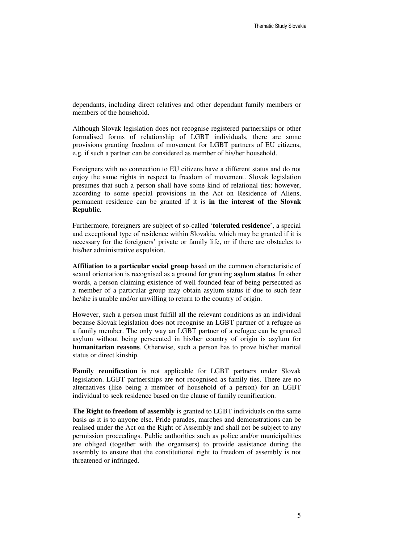dependants, including direct relatives and other dependant family members or members of the household.

Although Slovak legislation does not recognise registered partnerships or other formalised forms of relationship of LGBT individuals, there are some provisions granting freedom of movement for LGBT partners of EU citizens, e.g. if such a partner can be considered as member of his/her household.

Foreigners with no connection to EU citizens have a different status and do not enjoy the same rights in respect to freedom of movement. Slovak legislation presumes that such a person shall have some kind of relational ties; however, according to some special provisions in the Act on Residence of Aliens, permanent residence can be granted if it is **in the interest of the Slovak Republic**.

Furthermore, foreigners are subject of so-called '**tolerated residence**', a special and exceptional type of residence within Slovakia, which may be granted if it is necessary for the foreigners' private or family life, or if there are obstacles to his/her administrative expulsion.

**Affiliation to a particular social group** based on the common characteristic of sexual orientation is recognised as a ground for granting **asylum status**. In other words, a person claiming existence of well-founded fear of being persecuted as a member of a particular group may obtain asylum status if due to such fear he/she is unable and/or unwilling to return to the country of origin.

However, such a person must fulfill all the relevant conditions as an individual because Slovak legislation does not recognise an LGBT partner of a refugee as a family member. The only way an LGBT partner of a refugee can be granted asylum without being persecuted in his/her country of origin is asylum for **humanitarian reasons**. Otherwise, such a person has to prove his/her marital status or direct kinship.

**Family reunification** is not applicable for LGBT partners under Slovak legislation. LGBT partnerships are not recognised as family ties. There are no alternatives (like being a member of household of a person) for an LGBT individual to seek residence based on the clause of family reunification.

**The Right to freedom of assembly** is granted to LGBT individuals on the same basis as it is to anyone else. Pride parades, marches and demonstrations can be realised under the Act on the Right of Assembly and shall not be subject to any permission proceedings. Public authorities such as police and/or municipalities are obliged (together with the organisers) to provide assistance during the assembly to ensure that the constitutional right to freedom of assembly is not threatened or infringed.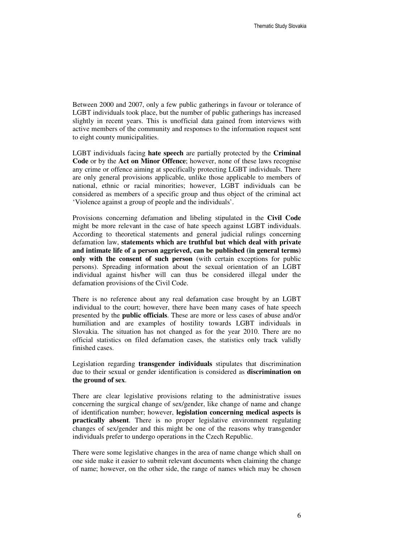Between 2000 and 2007, only a few public gatherings in favour or tolerance of LGBT individuals took place, but the number of public gatherings has increased slightly in recent years. This is unofficial data gained from interviews with active members of the community and responses to the information request sent to eight county municipalities.

LGBT individuals facing **hate speech** are partially protected by the **Criminal Code** or by the **Act on Minor Offence**; however, none of these laws recognise any crime or offence aiming at specifically protecting LGBT individuals. There are only general provisions applicable, unlike those applicable to members of national, ethnic or racial minorities; however, LGBT individuals can be considered as members of a specific group and thus object of the criminal act 'Violence against a group of people and the individuals'.

Provisions concerning defamation and libeling stipulated in the **Civil Code** might be more relevant in the case of hate speech against LGBT individuals. According to theoretical statements and general judicial rulings concerning defamation law, **statements which are truthful but which deal with private and intimate life of a person aggrieved, can be published (in general terms) only with the consent of such person** (with certain exceptions for public persons). Spreading information about the sexual orientation of an LGBT individual against his/her will can thus be considered illegal under the defamation provisions of the Civil Code.

There is no reference about any real defamation case brought by an LGBT individual to the court; however, there have been many cases of hate speech presented by the **public officials**. These are more or less cases of abuse and/or humiliation and are examples of hostility towards LGBT individuals in Slovakia. The situation has not changed as for the year 2010. There are no official statistics on filed defamation cases, the statistics only track validly finished cases.

Legislation regarding **transgender individuals** stipulates that discrimination due to their sexual or gender identification is considered as **discrimination on the ground of sex**.

There are clear legislative provisions relating to the administrative issues concerning the surgical change of sex/gender, like change of name and change of identification number; however, **legislation concerning medical aspects is practically absent**. There is no proper legislative environment regulating changes of sex/gender and this might be one of the reasons why transgender individuals prefer to undergo operations in the Czech Republic.

There were some legislative changes in the area of name change which shall on one side make it easier to submit relevant documents when claiming the change of name; however, on the other side, the range of names which may be chosen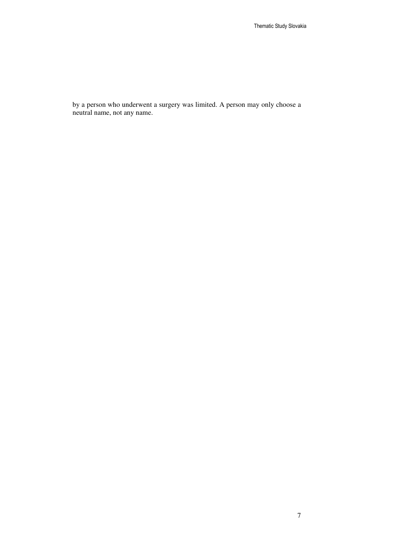by a person who underwent a surgery was limited. A person may only choose a neutral name, not any name.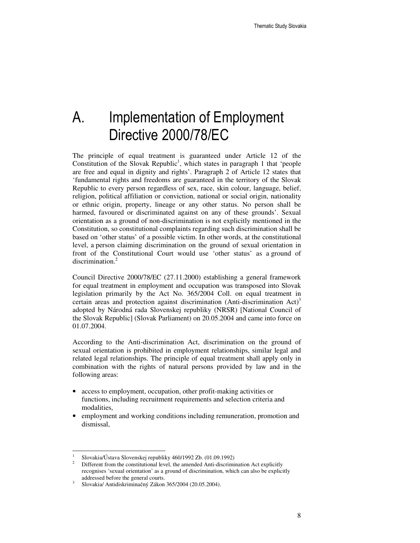# A. Implementation of Employment Directive 2000/78/EC

The principle of equal treatment is guaranteed under Article 12 of the Constitution of the Slovak Republic<sup>1</sup>, which states in paragraph 1 that 'people are free and equal in dignity and rights'. Paragraph 2 of Article 12 states that 'fundamental rights and freedoms are guaranteed in the territory of the Slovak Republic to every person regardless of sex, race, skin colour, language, belief, religion, political affiliation or conviction, national or social origin, nationality or ethnic origin, property, lineage or any other status. No person shall be harmed, favoured or discriminated against on any of these grounds'. Sexual orientation as a ground of non-discrimination is not explicitly mentioned in the Constitution, so constitutional complaints regarding such discrimination shall be based on 'other status' of a possible victim. In other words, at the constitutional level, a person claiming discrimination on the ground of sexual orientation in front of the Constitutional Court would use 'other status' as a ground of discrimination.<sup>2</sup>

Council Directive 2000/78/EC (27.11.2000) establishing a general framework for equal treatment in employment and occupation was transposed into Slovak legislation primarily by the Act No. 365/2004 Coll. on equal treatment in certain areas and protection against discrimination (Anti-discrimination  $Act)^3$ adopted by Národná rada Slovenskej republiky (NRSR) [National Council of the Slovak Republic] (Slovak Parliament) on 20.05.2004 and came into force on 01.07.2004.

According to the Anti-discrimination Act, discrimination on the ground of sexual orientation is prohibited in employment relationships, similar legal and related legal relationships. The principle of equal treatment shall apply only in combination with the rights of natural persons provided by law and in the following areas:

- access to employment, occupation, other profit-making activities or functions, including recruitment requirements and selection criteria and modalities,
- employment and working conditions including remuneration, promotion and dismissal,

<sup>1</sup> Slovakia/Ústava Slovenskej republiky 460/1992 Zb. (01.09.1992)

<sup>2</sup> Different from the constitutional level, the amended Anti-discrimination Act explicitly recognises 'sexual orientation' as a ground of discrimination, which can also be explicitly addressed before the general courts.

<sup>3</sup> Slovakia/ Antidiskriminačný Zákon 365/2004 (20.05.2004).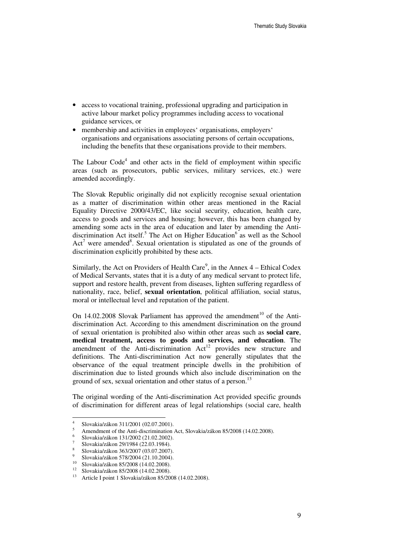- access to vocational training, professional upgrading and participation in active labour market policy programmes including access to vocational guidance services, or
- membership and activities in employees' organisations, employers' organisations and organisations associating persons of certain occupations, including the benefits that these organisations provide to their members.

The Labour Code<sup>4</sup> and other acts in the field of employment within specific areas (such as prosecutors, public services, military services, etc.) were amended accordingly.

The Slovak Republic originally did not explicitly recognise sexual orientation as a matter of discrimination within other areas mentioned in the Racial Equality Directive 2000/43/EC, like social security, education, health care, access to goods and services and housing; however, this has been changed by amending some acts in the area of education and later by amending the Antidiscrimination Act itself.<sup>5</sup> The Act on Higher Education<sup>6</sup> as well as the School Act<sup>7</sup> were amended<sup>8</sup>. Sexual orientation is stipulated as one of the grounds of discrimination explicitly prohibited by these acts.

Similarly, the Act on Providers of Health Care<sup>9</sup>, in the Annex  $4$  – Ethical Codex of Medical Servants, states that it is a duty of any medical servant to protect life, support and restore health, prevent from diseases, lighten suffering regardless of nationality, race, belief, **sexual orientation**, political affiliation, social status, moral or intellectual level and reputation of the patient.

On  $14.02.2008$  Slovak Parliament has approved the amendment<sup>10</sup> of the Antidiscrimination Act. According to this amendment discrimination on the ground of sexual orientation is prohibited also within other areas such as **social care**, **medical treatment, access to goods and services, and education**. The amendment of the Anti-discrimination Act<sup>12</sup> provides new structure and definitions. The Anti-discrimination Act now generally stipulates that the observance of the equal treatment principle dwells in the prohibition of discrimination due to listed grounds which also include discrimination on the ground of sex, sexual orientation and other status of a person.<sup>13</sup>

The original wording of the Anti-discrimination Act provided specific grounds of discrimination for different areas of legal relationships (social care, health

<sup>4</sup> Slovakia/zákon 311/2001 (02.07.2001).

<sup>5</sup> Amendment of the Anti-discrimination Act, Slovakia/zákon 85/2008 (14.02.2008).

<sup>6</sup> Slovakia/zákon 131/2002 (21.02.2002).

<sup>7</sup> Slovakia/zákon 29/1984 (22.03.1984).

<sup>8</sup> Slovakia/zákon 363/2007 (03.07.2007).

<sup>9</sup> <sup>9</sup> Slovakia/zákon 578/2004 (21.10.2004).

<sup>&</sup>lt;sup>10</sup> Slovakia/zákon 85/2008 (14.02.2008).<br><sup>12</sup> Slovakia/zákon 85/2008 (14.02.2008).

<sup>&</sup>lt;sup>12</sup> Slovakia/zákon 85/2008 (14.02.2008).<br><sup>13</sup> Article Lpoint 1 Slovakia/zákon 85/200

<sup>13</sup> Article I point 1 Slovakia/zákon 85/2008 (14.02.2008).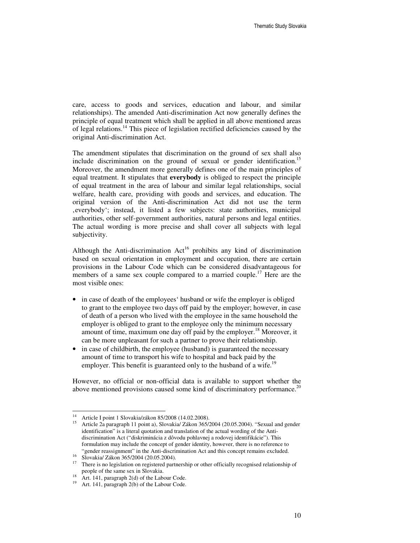care, access to goods and services, education and labour, and similar relationships). The amended Anti-discrimination Act now generally defines the principle of equal treatment which shall be applied in all above mentioned areas of legal relations.<sup>14</sup> This piece of legislation rectified deficiencies caused by the original Anti-discrimination Act.

The amendment stipulates that discrimination on the ground of sex shall also include discrimination on the ground of sexual or gender identification.<sup>15</sup> Moreover, the amendment more generally defines one of the main principles of equal treatment. It stipulates that **everybody** is obliged to respect the principle of equal treatment in the area of labour and similar legal relationships, social welfare, health care, providing with goods and services, and education. The original version of the Anti-discrimination Act did not use the term , everybody'; instead, it listed a few subjects: state authorities, municipal authorities, other self-government authorities, natural persons and legal entities. The actual wording is more precise and shall cover all subjects with legal subjectivity.

Although the Anti-discrimination  $Act^{16}$  prohibits any kind of discrimination based on sexual orientation in employment and occupation, there are certain provisions in the Labour Code which can be considered disadvantageous for members of a same sex couple compared to a married couple.<sup>17</sup> Here are the most visible ones:

- in case of death of the employees' husband or wife the employer is obliged to grant to the employee two days off paid by the employer; however, in case of death of a person who lived with the employee in the same household the employer is obliged to grant to the employee only the minimum necessary amount of time, maximum one day off paid by the employer.<sup>18</sup> Moreover, it can be more unpleasant for such a partner to prove their relationship.
- in case of childbirth, the employee (husband) is guaranteed the necessary amount of time to transport his wife to hospital and back paid by the employer. This benefit is guaranteed only to the husband of a wife.<sup>19</sup>

However, no official or non-official data is available to support whether the above mentioned provisions caused some kind of discriminatory performance.<sup>20</sup>

<sup>&</sup>lt;sup>14</sup> Article I point 1 Slovakia/zákon 85/2008 (14.02.2008).

<sup>15</sup> Article 2a paragraph 11 point a), Slovakia/ Zákon 365/2004 (20.05.2004). "Sexual and gender identification" is a literal quotation and translation of the actual wording of the Antidiscrimination Act ("diskriminácia z dôvodu pohlavnej a rodovej identifikácie"). This formulation may include the concept of gender identity, however, there is no reference to "gender reassignment" in the Anti-discrimination Act and this concept remains excluded.

<sup>16</sup> Slovakia/ Zákon 365/2004 (20.05.2004).

<sup>&</sup>lt;sup>17</sup> There is no legislation on registered partnership or other officially recognised relationship of people of the same sex in Slovakia.

Art. 141, paragraph 2(d) of the Labour Code.

<sup>19</sup> Art. 141, paragraph 2(b) of the Labour Code.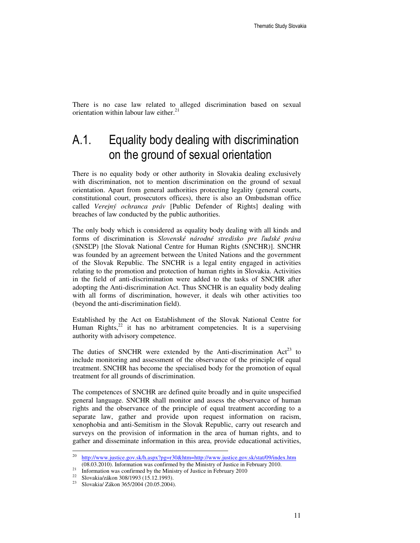There is no case law related to alleged discrimination based on sexual orientation within labour law either.<sup>2</sup>

### A.1. Equality body dealing with discrimination on the ground of sexual orientation

There is no equality body or other authority in Slovakia dealing exclusively with discrimination, not to mention discrimination on the ground of sexual orientation. Apart from general authorities protecting legality (general courts, constitutional court, prosecutors offices), there is also an Ombudsman office called *Verejný ochranca práv* [Public Defender of Rights] dealing with breaches of law conducted by the public authorities.

The only body which is considered as equality body dealing with all kinds and forms of discrimination is *Slovenské národné stredisko pre* ľ*udské práva* (SNSĽP) [the Slovak National Centre for Human Rights (SNCHR)]. SNCHR was founded by an agreement between the United Nations and the government of the Slovak Republic. The SNCHR is a legal entity engaged in activities relating to the promotion and protection of human rights in Slovakia. Activities in the field of anti-discrimination were added to the tasks of SNCHR after adopting the Anti-discrimination Act. Thus SNCHR is an equality body dealing with all forms of discrimination, however, it deals wih other activities too (beyond the anti-discrimination field).

Established by the Act on Establishment of the Slovak National Centre for Human Rights, $^{22}$  it has no arbitrament competencies. It is a supervising authority with advisory competence.

The duties of SNCHR were extended by the Anti-discrimination  $Act^{23}$  to include monitoring and assessment of the observance of the principle of equal treatment. SNCHR has become the specialised body for the promotion of equal treatment for all grounds of discrimination.

The competences of SNCHR are defined quite broadly and in quite unspecified general language. SNCHR shall monitor and assess the observance of human rights and the observance of the principle of equal treatment according to a separate law, gather and provide upon request information on racism, xenophobia and anti-Semitism in the Slovak Republic, carry out research and surveys on the provision of information in the area of human rights, and to gather and disseminate information in this area, provide educational activities,

<sup>&</sup>lt;sup>20</sup> http://www.justice.gov.sk/h.aspx?pg=r30&htm=http://www.justice.gov.sk/stat/09/index.htm (08.03.2010). Information was confirmed by the Ministry of Justice in February 2010.

<sup>&</sup>lt;sup>21</sup> Information was confirmed by the Ministry of Justice in February 2010<br><sup>22</sup> Slavebia/zákon 208/1003 (15.13.1003)

<sup>22</sup> Slovakia/zákon 308/1993 (15.12.1993).

<sup>23</sup> Slovakia/ Zákon 365/2004 (20.05.2004).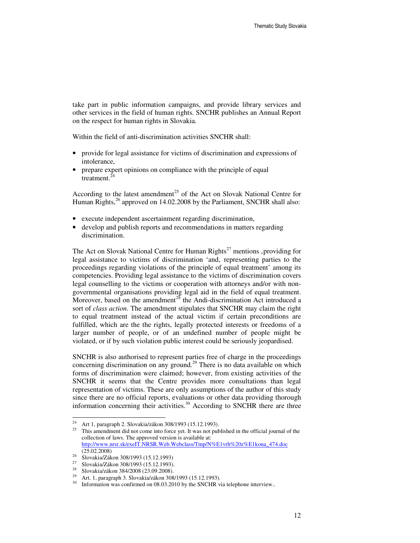take part in public information campaigns, and provide library services and other services in the field of human rights. SNCHR publishes an Annual Report on the respect for human rights in Slovakia.

Within the field of anti-discrimination activities SNCHR shall:

- provide for legal assistance for victims of discrimination and expressions of intolerance,
- prepare expert opinions on compliance with the principle of equal treatment.<sup>24</sup>

According to the latest amendment<sup>25</sup> of the Act on Slovak National Centre for Human Rights,<sup>26</sup> approved on 14.02.2008 by the Parliament, SNCHR shall also:

- execute independent ascertainment regarding discrimination,
- develop and publish reports and recommendations in matters regarding discrimination.

The Act on Slovak National Centre for Human Rights<sup>27</sup> mentions , providing for legal assistance to victims of discrimination 'and, representing parties to the proceedings regarding violations of the principle of equal treatment' among its competencies. Providing legal assistance to the victims of discrimination covers legal counselling to the victims or cooperation with attorneys and/or with nongovernmental organisations providing legal aid in the field of equal treatment. Moreover, based on the amendment<sup>28</sup> the Andi-discrimination Act introduced a sort of *class action*. The amendment stipulates that SNCHR may claim the right to equal treatment instead of the actual victim if certain preconditions are fulfilled, which are the the rights, legally protected interests or freedoms of a larger number of people, or of an undefined number of people might be violated, or if by such violation public interest could be seriously jeopardised.

SNCHR is also authorised to represent parties free of charge in the proceedings concerning discrimination on any ground.<sup>29</sup> There is no data available on which forms of discrimination were claimed; however, from existing activities of the SNCHR it seems that the Centre provides more consultations than legal representation of victims. These are only assumptions of the author of this study since there are no official reports, evaluations or other data providing thorough information concerning their activities.<sup>30</sup> According to SNCHR there are three

<sup>&</sup>lt;sup>24</sup> Art 1, paragraph 2. Slovakia/zákon 308/1993 (15.12.1993).

<sup>25</sup> This amendment did not come into force yet. It was not published in the official journal of the collection of laws. The approved version is available at: http://www.nrsr.sk/exeIT.NRSR.Web.Webclass/Tmp/N%E1vrh%20z%E1kona\_474.doc (25.02.2008)

<sup>&</sup>lt;sup>26</sup> Slovakia/Zákon 308/1993 (15.12.1993)

<sup>&</sup>lt;sup>27</sup> Slovakia/Zákon 308/1993 (15.12.1993).<br><sup>28</sup> Slovakia/zákon <sup>28,4/2008</sup> (22.00.2008).

<sup>28</sup> Slovakia/zákon 384/2008 (23.09.2008).

<sup>29</sup> Art. 1, paragraph 3. Slovakia/zákon 308/1993 (15.12.1993).

<sup>&</sup>lt;sup>30</sup> Information was confirmed on 08.03.2010 by the SNCHR via telephone interview..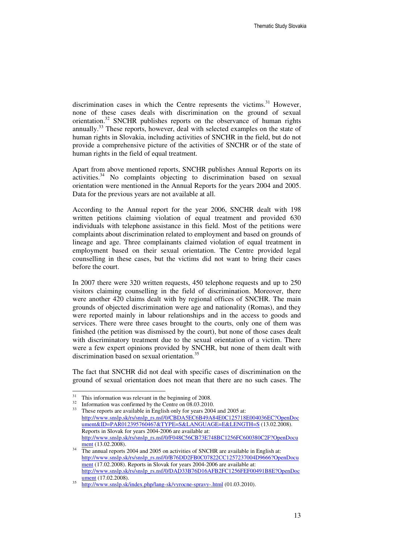discrimination cases in which the Centre represents the victims. $31$  However, none of these cases deals with discrimination on the ground of sexual orientation.<sup>32</sup> SNCHR publishes reports on the observance of human rights annually.<sup>33</sup> These reports, however, deal with selected examples on the state of human rights in Slovakia, including activities of SNCHR in the field, but do not provide a comprehensive picture of the activities of SNCHR or of the state of human rights in the field of equal treatment.

Apart from above mentioned reports, SNCHR publishes Annual Reports on its activities.<sup>34</sup> No complaints objecting to discrimination based on sexual orientation were mentioned in the Annual Reports for the years 2004 and 2005. Data for the previous years are not available at all.

According to the Annual report for the year 2006, SNCHR dealt with 198 written petitions claiming violation of equal treatment and provided 630 individuals with telephone assistance in this field. Most of the petitions were complaints about discrimination related to employment and based on grounds of lineage and age. Three complainants claimed violation of equal treatment in employment based on their sexual orientation. The Centre provided legal counselling in these cases, but the victims did not want to bring their cases before the court.

In 2007 there were 320 written requests, 450 telephone requests and up to 250 visitors claiming counselling in the field of discrimination. Moreover, there were another 420 claims dealt with by regional offices of SNCHR. The main grounds of objected discrimination were age and nationality (Romas), and they were reported mainly in labour relationships and in the access to goods and services. There were three cases brought to the courts, only one of them was finished (the petition was dismissed by the court), but none of those cases dealt with discriminatory treatment due to the sexual orientation of a victim. There were a few expert opinions provided by SNCHR, but none of them dealt with discrimination based on sexual orientation.<sup>35</sup>

The fact that SNCHR did not deal with specific cases of discrimination on the ground of sexual orientation does not mean that there are no such cases. The

<sup>31</sup>  $\frac{31}{2}$  This information was relevant in the beginning of 2008.

 $\frac{32}{33}$  Information was confirmed by the Centre on 08.03.2010.

These reports are available in English only for years 2004 and 2005 at: http://www.snslp.sk/rs/snslp\_rs.nsf/0/CBDA5EC6B49A84E0C125718E004036EC?OpenDoc ument&ID=PAR012395760467&TYPE=S&LANGUAGE=E&LENGTH=S (13.02.2008). Reports in Slovak for years 2004-2006 are available at: http://www.snslp.sk/rs/snslp\_rs.nsf/0/F048C56CB73E748BC1256FC600380C2F?OpenDocu ment (13.02.2008).

The annual reports 2004 and 2005 on activities of SNCHR are available in English at: http://www.snslp.sk/rs/snslp\_rs.nsf/0/B76DD2FB0C07822CC1257237004D9666?OpenDocu ment (17.02.2008). Reports in Slovak for years 2004-2006 are available at: http://www.snslp.sk/rs/snslp\_rs.nsf/0/DAD33B76D16AFB2FC1256FEF00491B8E?OpenDoc ument (17.02.2008). 35

http://www.snslp.sk/index.php/lang-sk/vyrocne-spravy-.html (01.03.2010).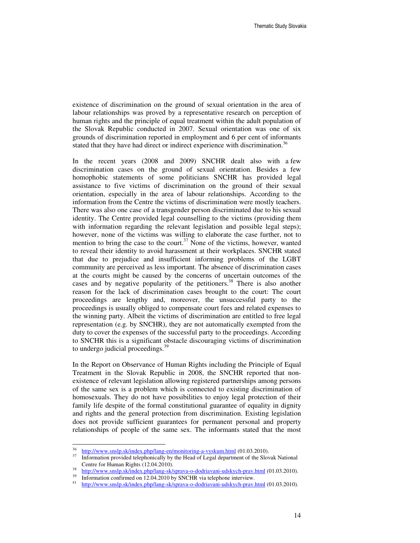existence of discrimination on the ground of sexual orientation in the area of labour relationships was proved by a representative research on perception of human rights and the principle of equal treatment within the adult population of the Slovak Republic conducted in 2007. Sexual orientation was one of six grounds of discrimination reported in employment and 6 per cent of informants stated that they have had direct or indirect experience with discrimination.<sup>36</sup>

In the recent years (2008 and 2009) SNCHR dealt also with a few discrimination cases on the ground of sexual orientation. Besides a few homophobic statements of some politicians SNCHR has provided legal assistance to five victims of discrimination on the ground of their sexual orientation, especially in the area of labour relationships. According to the information from the Centre the victims of discrimination were mostly teachers. There was also one case of a transgender person discriminated due to his sexual identity. The Centre provided legal counselling to the victims (providing them with information regarding the relevant legislation and possible legal steps); however, none of the victims was willing to elaborate the case further, not to mention to bring the case to the court.<sup>37</sup> None of the victims, however, wanted to reveal their identity to avoid harassment at their workplaces. SNCHR stated that due to prejudice and insufficient informing problems of the LGBT community are perceived as less important. The absence of discrimination cases at the courts might be caused by the concerns of uncertain outcomes of the cases and by negative popularity of the petitioners. <sup>38</sup> There is also another reason for the lack of discrimination cases brought to the court: The court proceedings are lengthy and, moreover, the unsuccessful party to the proceedings is usually obliged to compensate court fees and related expenses to the winning party. Albeit the victims of discrimination are entitled to free legal representation (e.g. by SNCHR), they are not automatically exempted from the duty to cover the expenses of the successful party to the proceedings. According to SNCHR this is a significant obstacle discouraging victims of discrimination to undergo judicial proceedings.<sup>39</sup>

In the Report on Observance of Human Rights including the Principle of Equal Treatment in the Slovak Republic in 2008, the SNCHR reported that nonexistence of relevant legislation allowing registered partnerships among persons of the same sex is a problem which is connected to existing discrimination of homosexuals. They do not have possibilities to enjoy legal protection of their family life despite of the formal constitutional guarantee of equality in dignity and rights and the general protection from discrimination. Existing legislation does not provide sufficient guarantees for permanent personal and property relationships of people of the same sex. The informants stated that the most

 36  $\frac{10^{36}}{10^{37}}$  http://www.snslp.sk/index.php/lang-en/monitoring-a-vyskum.html (01.03.2010).

Information provided telephonically by the Head of Legal department of the Slovak National Centre for Human Rights (12.04.2010).

<sup>38</sup> http://www.snslp.sk/index.php/lang-sk/sprava-o-dodriavani-udskych-prav.html (01.03.2010).

Information confirmed on 12.04.2010 by SNCHR via telephone interview.

<sup>41</sup> http://www.snslp.sk/index.php/lang-sk/sprava-o-dodriavani-udskych-prav.html (01.03.2010).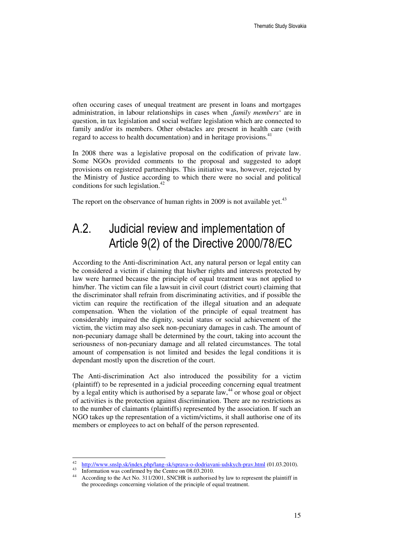often occuring cases of unequal treatment are present in loans and mortgages administration, in labour relationships in cases when '*family members*' are in question, in tax legislation and social welfare legislation which are connected to family and/or its members. Other obstacles are present in health care (with regard to access to health documentation) and in heritage provisions.<sup>41</sup>

In 2008 there was a legislative proposal on the codification of private law. Some NGOs provided comments to the proposal and suggested to adopt provisions on registered partnerships. This initiative was, however, rejected by the Ministry of Justice according to which there were no social and political conditions for such legislation. $42$ 

The report on the observance of human rights in 2009 is not available yet.<sup>43</sup>

### A.2. Judicial review and implementation of Article 9(2) of the Directive 2000/78/EC

According to the Anti-discrimination Act, any natural person or legal entity can be considered a victim if claiming that his/her rights and interests protected by law were harmed because the principle of equal treatment was not applied to him/her. The victim can file a lawsuit in civil court (district court) claiming that the discriminator shall refrain from discriminating activities, and if possible the victim can require the rectification of the illegal situation and an adequate compensation. When the violation of the principle of equal treatment has considerably impaired the dignity, social status or social achievement of the victim, the victim may also seek non-pecuniary damages in cash. The amount of non-pecuniary damage shall be determined by the court, taking into account the seriousness of non-pecuniary damage and all related circumstances. The total amount of compensation is not limited and besides the legal conditions it is dependant mostly upon the discretion of the court.

The Anti-discrimination Act also introduced the possibility for a victim (plaintiff) to be represented in a judicial proceeding concerning equal treatment by a legal entity which is authorised by a separate law,<sup>44</sup> or whose goal or object of activities is the protection against discrimination. There are no restrictions as to the number of claimants (plaintiffs) represented by the association. If such an NGO takes up the representation of a victim/victims, it shall authorise one of its members or employees to act on behalf of the person represented.

<sup>&</sup>lt;sup>42</sup> http://www.snslp.sk/index.php/lang-sk/sprava-o-dodriavani-udskych-prav.html (01.03.2010).

<sup>&</sup>lt;sup>43</sup> Information was confirmed by the Centre on 08.03.2010.

According to the Act No. 311/2001, SNCHR is authorised by law to represent the plaintiff in the proceedings concerning violation of the principle of equal treatment.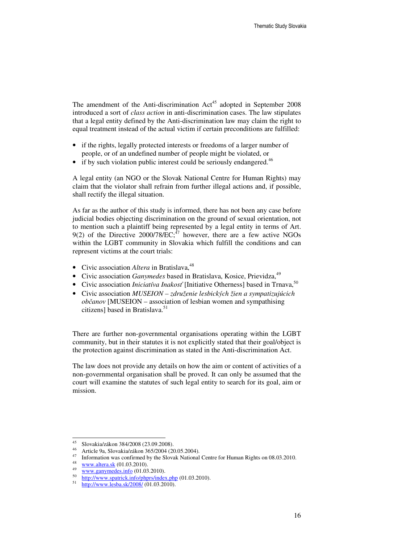The amendment of the Anti-discrimination  $Act^{45}$  adopted in September 2008 introduced a sort of *class action* in anti-discrimination cases. The law stipulates that a legal entity defined by the Anti-discrimination law may claim the right to equal treatment instead of the actual victim if certain preconditions are fulfilled:

- if the rights, legally protected interests or freedoms of a larger number of people, or of an undefined number of people might be violated, or
- if by such violation public interest could be seriously endangered.<sup>46</sup>

A legal entity (an NGO or the Slovak National Centre for Human Rights) may claim that the violator shall refrain from further illegal actions and, if possible, shall rectify the illegal situation.

As far as the author of this study is informed, there has not been any case before judicial bodies objecting discrimination on the ground of sexual orientation, not to mention such a plaintiff being represented by a legal entity in terms of Art. 9(2) of the Directive 2000/78/ $\overline{EC}$ ;<sup>47</sup> however, there are a few active NGOs within the LGBT community in Slovakia which fulfill the conditions and can represent victims at the court trials:

- Civic association *Altera* in Bratislava,<sup>48</sup>
- Civic association *Ganymedes* based in Bratislava, Kosice, Prievidza, <sup>49</sup>
- Civic association *Iniciativa Inakosť* [Initiative Otherness] based in Trnava,<sup>50</sup>
- Civic association *MUSEION združenie lesbických žien a sympatizujúcich ob*č*anov* [MUSEION – association of lesbian women and sympathising citizens] based in Bratislava.<sup>51</sup>

There are further non-governmental organisations operating within the LGBT community, but in their statutes it is not explicitly stated that their goal/object is the protection against discrimination as stated in the Anti-discrimination Act.

The law does not provide any details on how the aim or content of activities of a non-governmental organisation shall be proved. It can only be assumed that the court will examine the statutes of such legal entity to search for its goal, aim or mission.

<sup>45</sup> Slovakia/zákon 384/2008 (23.09.2008).

<sup>46</sup> Article 9a, Slovakia/zákon 365/2004 (20.05.2004).

<sup>&</sup>lt;sup>47</sup> Information was confirmed by the Slovak National Centre for Human Rights on 08.03.2010.

<sup>48</sup> www.altera.sk (01.03.2010).

<sup>49</sup> www.ganymedes.info (01.03.2010).

<sup>50</sup> http://www.spatrick.info/phprs/index.php (01.03.2010).

<sup>51</sup> http://www.lesba.sk/2008/ (01.03.2010).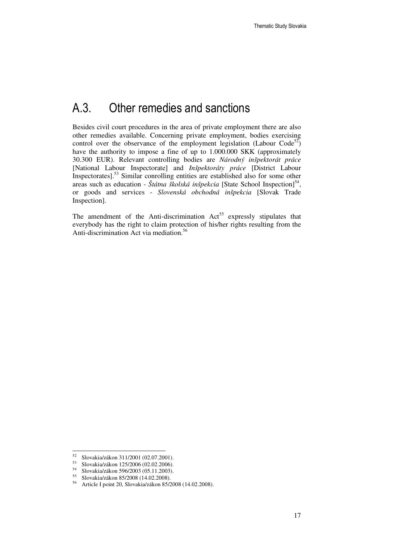### A.3. Other remedies and sanctions

Besides civil court procedures in the area of private employment there are also other remedies available. Concerning private employment, bodies exercising control over the observance of the employment legislation (Labour Code<sup>52</sup>) have the authority to impose a fine of up to 1.000.000 SKK (approximately 30.300 EUR). Relevant controlling bodies are *Národný inšpektorát práce* [National Labour Inspectorate] and *Inšpektoráty práce* [District Labour Inspectorates].<sup>53</sup> Similar conrolling entities are established also for some other areas such as education - Štátna školská inšpekcia [State School Inspection]<sup>54</sup>, or goods and services - *Slovenská obchodná inšpekcia* [Slovak Trade Inspection].

The amendment of the Anti-discrimination  $Act^{55}$  expressly stipulates that everybody has the right to claim protection of his/her rights resulting from the Anti-discrimination Act via mediation.<sup>56</sup>

<sup>52</sup>  $^{52}$  Slovakia/zákon 311/2001 (02.07.2001).<br> $^{53}$  Slovakia/zákon 125/2006 (02.02.2006).

<sup>&</sup>lt;sup>53</sup> Slovakia/zákon 125/2006 (02.02.2006).<br>54 Slovakia/zákon 506/2003 (05.11.2003).

<sup>54</sup> Slovakia/zákon 596/2003 (05.11.2003).

<sup>&</sup>lt;sup>55</sup> Slovakia/zákon 85/2008 (14.02.2008).<br><sup>56</sup> Article Lpoint 20. Slovakia/zákon 85/2

<sup>56</sup> Article I point 20, Slovakia/zákon 85/2008 (14.02.2008).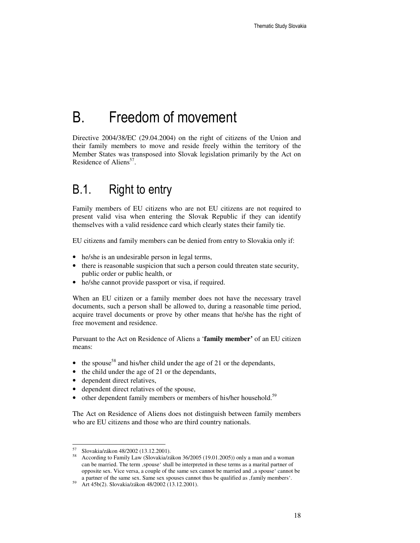# B. Freedom of movement

Directive 2004/38/EC (29.04.2004) on the right of citizens of the Union and their family members to move and reside freely within the territory of the Member States was transposed into Slovak legislation primarily by the Act on Residence of Aliens<sup>57</sup>.

### B.1. Right to entry

Family members of EU citizens who are not EU citizens are not required to present valid visa when entering the Slovak Republic if they can identify themselves with a valid residence card which clearly states their family tie.

EU citizens and family members can be denied from entry to Slovakia only if:

- he/she is an undesirable person in legal terms,
- there is reasonable suspicion that such a person could threaten state security, public order or public health, or
- he/she cannot provide passport or visa, if required.

When an EU citizen or a family member does not have the necessary travel documents, such a person shall be allowed to, during a reasonable time period, acquire travel documents or prove by other means that he/she has the right of free movement and residence.

Pursuant to the Act on Residence of Aliens a '**family member'** of an EU citizen means:

- the spouse<sup>58</sup> and his/her child under the age of 21 or the dependants,
- the child under the age of 21 or the dependants,
- dependent direct relatives,
- dependent direct relatives of the spouse,
- $\bullet$  other dependent family members or members of his/her household.<sup>59</sup>

The Act on Residence of Aliens does not distinguish between family members who are EU citizens and those who are third country nationals.

<sup>57</sup> <sup>57</sup> Slovakia/zákon 48/2002 (13.12.2001).

<sup>58</sup> According to Family Law (Slovakia/zákon 36/2005 (19.01.2005)) only a man and a woman can be married. The term 'spouse' shall be interpreted in these terms as a marital partner of opposite sex. Vice versa, a couple of the same sex cannot be married and , a spouse' cannot be a partner of the same sex. Same sex spouses cannot thus be qualified as  $\mathsf{f}$  family members'.

<sup>59</sup> Art 45b(2). Slovakia/zákon 48/2002 (13.12.2001).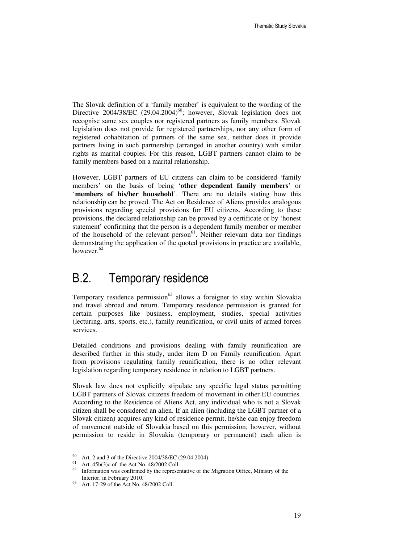The Slovak definition of a 'family member' is equivalent to the wording of the Directive 2004/38/EC  $(29.04.2004)^{60}$ ; however, Slovak legislation does not recognise same sex couples nor registered partners as family members. Slovak legislation does not provide for registered partnerships, nor any other form of registered cohabitation of partners of the same sex, neither does it provide partners living in such partnership (arranged in another country) with similar rights as marital couples. For this reason, LGBT partners cannot claim to be family members based on a marital relationship.

However, LGBT partners of EU citizens can claim to be considered 'family members' on the basis of being '**other dependent family members**' or '**members of his/her household**'. There are no details stating how this relationship can be proved. The Act on Residence of Aliens provides analogous provisions regarding special provisions for EU citizens. According to these provisions, the declared relationship can be proved by a certificate or by 'honest statement' confirming that the person is a dependent family member or member of the household of the relevant person<sup>61</sup>. Neither relevant data nor findings demonstrating the application of the quoted provisions in practice are available, however.<sup>62</sup>

### B.2. Temporary residence

Temporary residence permission<sup>63</sup> allows a foreigner to stay within Slovakia and travel abroad and return. Temporary residence permission is granted for certain purposes like business, employment, studies, special activities (lecturing, arts, sports, etc.), family reunification, or civil units of armed forces services.

Detailed conditions and provisions dealing with family reunification are described further in this study, under item D on Family reunification. Apart from provisions regulating family reunification, there is no other relevant legislation regarding temporary residence in relation to LGBT partners.

Slovak law does not explicitly stipulate any specific legal status permitting LGBT partners of Slovak citizens freedom of movement in other EU countries. According to the Residence of Aliens Act, any individual who is not a Slovak citizen shall be considered an alien. If an alien (including the LGBT partner of a Slovak citizen) acquires any kind of residence permit, he/she can enjoy freedom of movement outside of Slovakia based on this permission; however, without permission to reside in Slovakia (temporary or permanent) each alien is

<sup>60</sup> Art. 2 and 3 of the Directive 2004/38/EC (29.04.2004).

<sup>61</sup> Art. 45b(3)c of the Act No. 48/2002 Coll.

<sup>&</sup>lt;sup>62</sup> Information was confirmed by the representative of the Migration Office, Ministry of the Interior, in February 2010.

<sup>63</sup> Art. 17-29 of the Act No. 48/2002 Coll.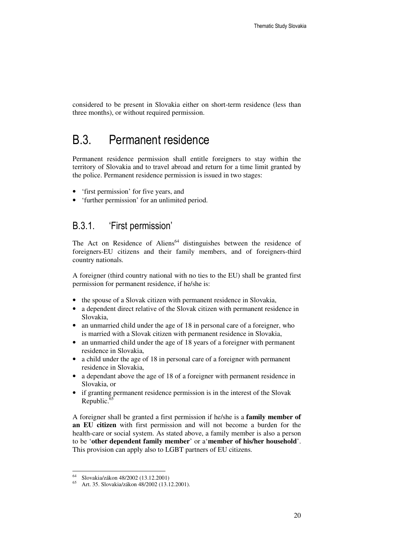considered to be present in Slovakia either on short-term residence (less than three months), or without required permission.

#### B.3. Permanent residence

Permanent residence permission shall entitle foreigners to stay within the territory of Slovakia and to travel abroad and return for a time limit granted by the police. Permanent residence permission is issued in two stages:

- 'first permission' for five years, and
- 'further permission' for an unlimited period.

#### B.3.1. 'First permission'

The Act on Residence of Aliens<sup>64</sup> distinguishes between the residence of foreigners-EU citizens and their family members, and of foreigners-third country nationals.

A foreigner (third country national with no ties to the EU) shall be granted first permission for permanent residence, if he/she is:

- the spouse of a Slovak citizen with permanent residence in Slovakia,
- a dependent direct relative of the Slovak citizen with permanent residence in Slovakia,
- an unmarried child under the age of 18 in personal care of a foreigner, who is married with a Slovak citizen with permanent residence in Slovakia,
- an unmarried child under the age of 18 years of a foreigner with permanent residence in Slovakia,
- a child under the age of 18 in personal care of a foreigner with permanent residence in Slovakia,
- a dependant above the age of 18 of a foreigner with permanent residence in Slovakia, or
- if granting permanent residence permission is in the interest of the Slovak Republic.<sup>65</sup>

A foreigner shall be granted a first permission if he/she is a **family member of an EU citizen** with first permission and will not become a burden for the health-care or social system. As stated above, a family member is also a person to be '**other dependent family member**' or a'**member of his/her household**'. This provision can apply also to LGBT partners of EU citizens.

l

<sup>64</sup> Slovakia/zákon 48/2002 (13.12.2001)

<sup>65</sup> Art. 35. Slovakia/zákon 48/2002 (13.12.2001).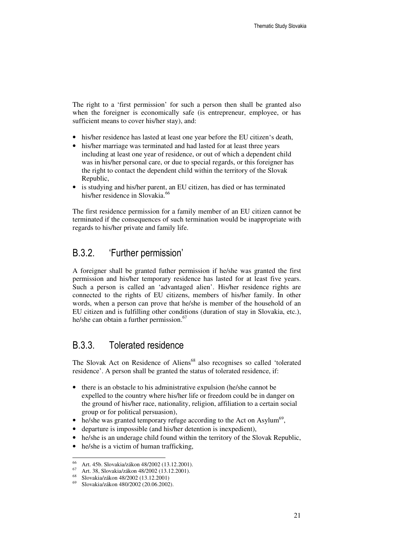The right to a 'first permission' for such a person then shall be granted also when the foreigner is economically safe (is entrepreneur, employee, or has sufficient means to cover his/her stay), and:

- his/her residence has lasted at least one year before the EU citizen's death,
- his/her marriage was terminated and had lasted for at least three years including at least one year of residence, or out of which a dependent child was in his/her personal care, or due to special regards, or this foreigner has the right to contact the dependent child within the territory of the Slovak Republic,
- is studying and his/her parent, an EU citizen, has died or has terminated his/her residence in Slovakia.<sup>66</sup>

The first residence permission for a family member of an EU citizen cannot be terminated if the consequences of such termination would be inappropriate with regards to his/her private and family life.

#### B.3.2. 'Further permission'

A foreigner shall be granted futher permission if he/she was granted the first permission and his/her temporary residence has lasted for at least five years. Such a person is called an 'advantaged alien'. His/her residence rights are connected to the rights of EU citizens, members of his/her family. In other words, when a person can prove that he/she is member of the household of an EU citizen and is fulfilling other conditions (duration of stay in Slovakia, etc.), he/she can obtain a further permission.<sup>67</sup>

#### B.3.3. Tolerated residence

The Slovak Act on Residence of Aliens<sup>68</sup> also recognises so called 'tolerated residence'. A person shall be granted the status of tolerated residence, if:

- there is an obstacle to his administrative expulsion (he/she cannot be expelled to the country where his/her life or freedom could be in danger on the ground of his/her race, nationality, religion, affiliation to a certain social group or for political persuasion),
- $\bullet$  he/she was granted temporary refuge according to the Act on Asylum<sup>69</sup>,
- departure is impossible (and his/her detention is inexpedient),
- he/she is an underage child found within the territory of the Slovak Republic,
- he/she is a victim of human trafficking,

<sup>66</sup> Art. 45b. Slovakia/zákon 48/2002 (13.12.2001).

 $67$  Art. 38, Slovakia/zákon 48/2002 (13.12.2001).

<sup>68</sup> Slovakia/zákon 48/2002 (13.12.2001)

<sup>69</sup> Slovakia/zákon 480/2002 (20.06.2002).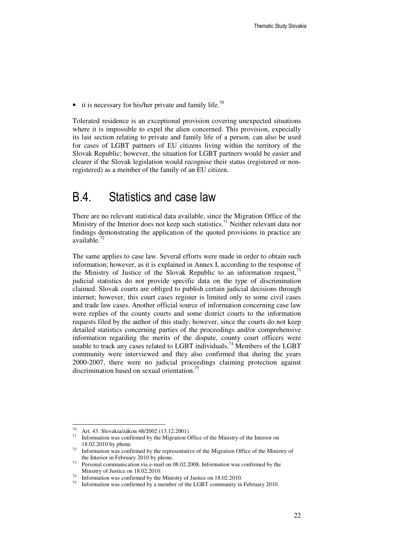• it is necessary for his/her private and family life.<sup>70</sup>

Tolerated residence is an exceptional provision covering unexpected situations where it is impossible to expel the alien concerned. This provision, expecially its last section relating to private and family life of a person, can also be used for cases of LGBT partners of EU citizens living within the territory of the Slovak Republic; however, the situation for LGBT partners would be easier and clearer if the Slovak legislation would recognise their status (registered or nonregistered) as a member of the family of an EU citizen.

### B.4. Statistics and case law

There are no relevant statistical data available, since the Migration Office of the Ministry of the Interior does not keep such statistics.<sup>71</sup> Neither relevant data nor findings demonstrating the application of the quoted provisions in practice are  $a$ vailable. $^{72}$ 

The same applies to case law. Several efforts were made in order to obtain such information; however, as it is explained in Annex I, according to the response of the Ministry of Justice of the Slovak Republic to an information request,  $7<sup>3</sup>$ judicial statistics do not provide specific data on the type of discrimination claimed. Slovak courts are obliged to publish certain judicial decisions through internet; however, this court cases register is limited only to some civil cases and trade law cases. Another official source of information concerning case law were replies of the county courts and some district courts to the information requests filed by the author of this study; however, since the courts do not keep detailed statistics concerning parties of the proceedings and/or comprehensive information regarding the merits of the dispute, county court officers were unable to track any cases related to LGBT individuals.<sup>74</sup> Members of the LGBT community were interviewed and they also confirmed that during the years 2000-2007, there were no judicial proceedings claiming protection against discrimination based on sexual orientation.<sup>75</sup>

<sup>70</sup>  $^{70}$  Art. 43. Slovakia/zákon 48/2002 (13.12.2001).

Information was confirmed by the Migration Office of the Ministry of the Interior on 18.02.2010 by phone.

 $72$  Information was confirmed by the representative of the Migration Office of the Ministry of the Interior in February 2010 by phone.

 $73$  Personal communication via e-mail on 08.02.2008. Information was confirmed by the Minsitry of Justice on 18.02.2010.

<sup>74</sup> Information was confirmed by the Ministry of Justice on 18.02.2010.

Information was confirmed by a member of the LGBT community in February 2010.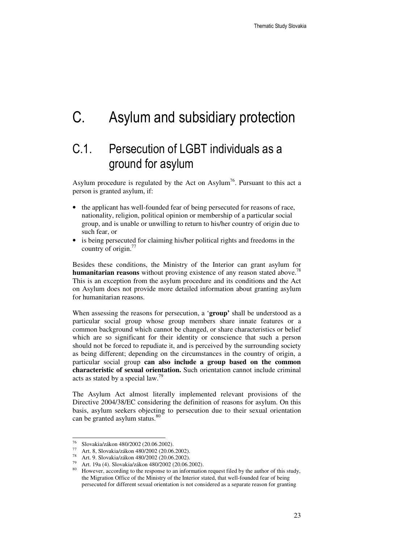# C. Asylum and subsidiary protection

### C.1. Persecution of LGBT individuals as a ground for asylum

Asylum procedure is regulated by the Act on Asylum<sup>76</sup>. Pursuant to this act a person is granted asylum, if:

- the applicant has well-founded fear of being persecuted for reasons of race, nationality, religion, political opinion or membership of a particular social group, and is unable or unwilling to return to his/her country of origin due to such fear, or
- is being persecuted for claiming his/her political rights and freedoms in the country of origin.<sup>77</sup>

Besides these conditions, the Ministry of the Interior can grant asylum for **humanitarian reasons** without proving existence of any reason stated above. 78 This is an exception from the asylum procedure and its conditions and the Act on Asylum does not provide more detailed information about granting asylum for humanitarian reasons.

When assessing the reasons for persecution, a '**group'** shall be understood as a particular social group whose group members share innate features or a common background which cannot be changed, or share characteristics or belief which are so significant for their identity or conscience that such a person should not be forced to repudiate it, and is perceived by the surrounding society as being different; depending on the circumstances in the country of origin, a particular social group **can also include a group based on the common characteristic of sexual orientation.** Such orientation cannot include criminal acts as stated by a special law.<sup>79</sup>

The Asylum Act almost literally implemented relevant provisions of the Directive 2004/38/EC considering the definition of reasons for asylum. On this basis, asylum seekers objecting to persecution due to their sexual orientation can be granted asylum status.<sup>80</sup>

<sup>76</sup> Slovakia/zákon 480/2002 (20.06.2002).

<sup>77</sup> Art. 8, Slovakia/zákon 480/2002 (20.06.2002).

<sup>78</sup> Art. 9. Slovakia/zákon 480/2002 (20.06.2002).

<sup>&</sup>lt;sup>79</sup> Art. 19a (4). Slovakia/zákon 480/2002 (20.06.2002).

<sup>80</sup> However, according to the response to an information request filed by the author of this study, the Migration Office of the Ministry of the Interior stated, that well-founded fear of being persecuted for different sexual orientation is not considered as a separate reason for granting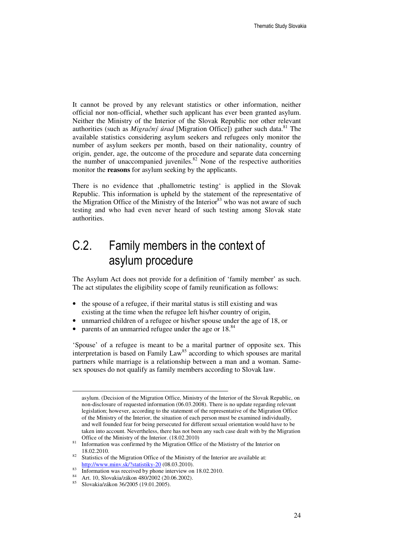It cannot be proved by any relevant statistics or other information, neither official nor non-official, whether such applicant has ever been granted asylum. Neither the Ministry of the Interior of the Slovak Republic nor other relevant authorities (such as *Migračný úrad* [Migration Office]) gather such data.<sup>81</sup> The available statistics considering asylum seekers and refugees only monitor the number of asylum seekers per month, based on their nationality, country of origin, gender, age, the outcome of the procedure and separate data concerning the number of unaccompanied juveniles. $82$  None of the respective authorities monitor the **reasons** for asylum seeking by the applicants.

There is no evidence that 'phallometric testing' is applied in the Slovak Republic. This information is upheld by the statement of the representative of the Migration Office of the Ministry of the Interior<sup>83</sup> who was not aware of such testing and who had even never heard of such testing among Slovak state authorities.

### C.2. Family members in the context of asylum procedure

The Asylum Act does not provide for a definition of 'family member' as such. The act stipulates the eligibility scope of family reunification as follows:

- the spouse of a refugee, if their marital status is still existing and was existing at the time when the refugee left his/her country of origin,
- unmarried children of a refugee or his/her spouse under the age of 18, or
- parents of an unmarried refugee under the age or 18.<sup>84</sup>

'Spouse' of a refugee is meant to be a marital partner of opposite sex. This interpretation is based on Family  $Law<sup>85</sup>$  according to which spouses are marital partners while marriage is a relationship between a man and a woman. Samesex spouses do not qualify as family members according to Slovak law.

asylum. (Decision of the Migration Office, Ministry of the Interior of the Slovak Republic, on non-disclosure of requested information (06.03.2008). There is no update regarding relevant legislation; however, according to the statement of the representative of the Migration Office of the Ministry of the Interior, the situation of each person must be examined individually, and well founded fear for being persecuted for different sexual orientation would have to be taken into account. Nevertheless, there has not been any such case dealt with by the Migration Office of the Ministry of the Interior. (18.02.2010)

<sup>&</sup>lt;sup>81</sup> Information was confirmed by the Migration Office of the Mististry of the Interior on 18.02.2010.

 $82$  Statistics of the Migration Office of the Ministry of the Interior are available at: http://www.minv.sk/?statistiky-20 (08.03.2010).

<sup>&</sup>lt;sup>83</sup> Information was received by phone interview on 18.02.2010.

Art. 10, Slovakia/zákon 480/2002 (20.06.2002).

<sup>85</sup> Slovakia/zákon 36/2005 (19.01.2005).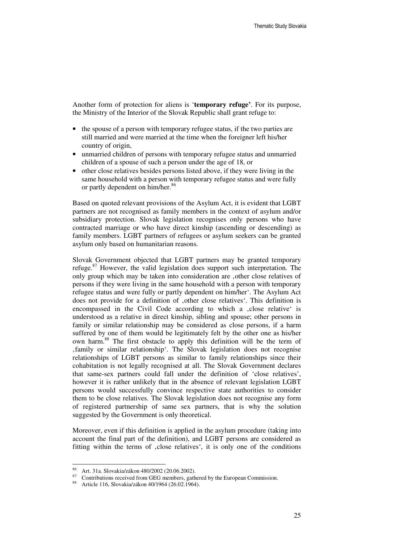Another form of protection for aliens is '**temporary refuge'**. For its purpose, the Ministry of the Interior of the Slovak Republic shall grant refuge to:

- the spouse of a person with temporary refugee status, if the two parties are still married and were married at the time when the foreigner left his/her country of origin,
- unmarried children of persons with temporary refugee status and unmarried children of a spouse of such a person under the age of 18, or
- other close relatives besides persons listed above, if they were living in the same household with a person with temporary refugee status and were fully or partly dependent on him/her.<sup>86</sup>

Based on quoted relevant provisions of the Asylum Act, it is evident that LGBT partners are not recognised as family members in the context of asylum and/or subsidiary protection. Slovak legislation recognises only persons who have contracted marriage or who have direct kinship (ascending or descending) as family members. LGBT partners of refugees or asylum seekers can be granted asylum only based on humanitarian reasons.

Slovak Government objected that LGBT partners may be granted temporary refuge. $87$  However, the valid legislation does support such interpretation. The only group which may be taken into consideration are 'other close relatives of persons if they were living in the same household with a person with temporary refugee status and were fully or partly dependent on him/her'. The Asylum Act does not provide for a definition of , other close relatives'. This definition is encompassed in the Civil Code according to which a , close relative' is understood as a relative in direct kinship, sibling and spouse; other persons in family or similar relationship may be considered as close persons, if a harm suffered by one of them would be legitimately felt by the other one as his/her own harm.<sup>88</sup> The first obstacle to apply this definition will be the term of 'family or similar relationship'. The Slovak legislation does not recognise relationships of LGBT persons as similar to family relationships since their cohabitation is not legally recognised at all. The Slovak Government declares that same-sex partners could fall under the definition of 'close relatives', however it is rather unlikely that in the absence of relevant legislation LGBT persons would successfully convince respective state authorities to consider them to be close relatives. The Slovak legislation does not recognise any form of registered partnership of same sex partners, that is why the solution suggested by the Government is only theoretical.

Moreover, even if this definition is applied in the asylum procedure (taking into account the final part of the definition), and LGBT persons are considered as fitting within the terms of , close relatives<sup>\*</sup>, it is only one of the conditions

l

<sup>86</sup> Art. 31a. Slovakia/zákon 480/2002 (20.06.2002).

<sup>&</sup>lt;sup>87</sup> Contributions received from GEG members, gathered by the European Commission.

<sup>88</sup> Article 116, Slovakia/zákon 40/1964 (26.02.1964).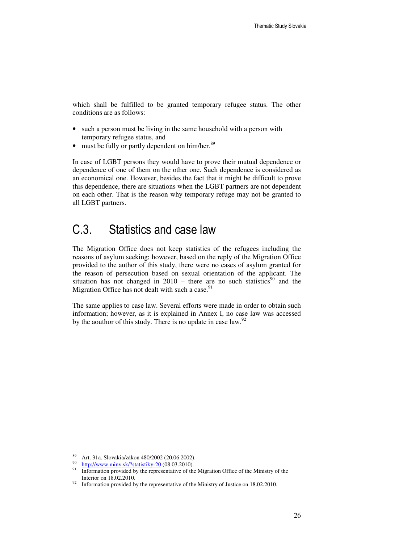which shall be fulfilled to be granted temporary refugee status. The other conditions are as follows:

- such a person must be living in the same household with a person with temporary refugee status, and
- must be fully or partly dependent on him/her. $89$

In case of LGBT persons they would have to prove their mutual dependence or dependence of one of them on the other one. Such dependence is considered as an economical one. However, besides the fact that it might be difficult to prove this dependence, there are situations when the LGBT partners are not dependent on each other. That is the reason why temporary refuge may not be granted to all LGBT partners.

### C.3. Statistics and case law

The Migration Office does not keep statistics of the refugees including the reasons of asylum seeking; however, based on the reply of the Migration Office provided to the author of this study, there were no cases of asylum granted for the reason of persecution based on sexual orientation of the applicant. The situation has not changed in  $2010$  – there are no such statistics<sup>90</sup> and the Migration Office has not dealt with such a case.<sup>91</sup>

The same applies to case law. Several efforts were made in order to obtain such information; however, as it is explained in Annex I, no case law was accessed by the aouthor of this study. There is no update in case law. $92$ 

<sup>89</sup> <sup>89</sup> Art. 31a. Slovakia/zákon 480/2002 (20.06.2002).

<sup>90</sup>  $\frac{90}{91}$  http://www.minv.sk/?statistiky-20 (08.03.2010).

Information provided by the representative of the Migration Office of the Ministry of the Interior on 18.02.2010.

 $92$  Information provided by the representative of the Ministry of Justice on 18.02.2010.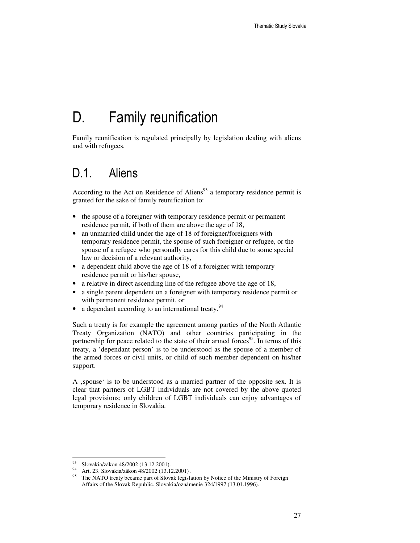# D. Family reunification

Family reunification is regulated principally by legislation dealing with aliens and with refugees.

### D.1. Aliens

According to the Act on Residence of Aliens $93$  a temporary residence permit is granted for the sake of family reunification to:

- the spouse of a foreigner with temporary residence permit or permanent residence permit, if both of them are above the age of 18,
- an unmarried child under the age of 18 of foreigner/foreigners with temporary residence permit, the spouse of such foreigner or refugee, or the spouse of a refugee who personally cares for this child due to some special law or decision of a relevant authority,
- a dependent child above the age of 18 of a foreigner with temporary residence permit or his/her spouse,
- a relative in direct ascending line of the refugee above the age of 18,
- a single parent dependent on a foreigner with temporary residence permit or with permanent residence permit, or
- $\bullet$  a dependant according to an international treaty.<sup>94</sup>

Such a treaty is for example the agreement among parties of the North Atlantic Treaty Organization (NATO) and other countries participating in the partnership for peace related to the state of their armed forces<sup>95</sup>. In terms of this treaty, a 'dependant person' is to be understood as the spouse of a member of the armed forces or civil units, or child of such member dependent on his/her support.

A , spouse ' is to be understood as a married partner of the opposite sex. It is clear that partners of LGBT individuals are not covered by the above quoted legal provisions; only children of LGBT individuals can enjoy advantages of temporary residence in Slovakia.

<sup>&</sup>lt;sup>93</sup> Slovakia/zákon 48/2002 (13.12.2001).

<sup>94</sup> Art. 23. Slovakia/zákon 48/2002 (13.12.2001).

<sup>&</sup>lt;sup>95</sup> The NATO treaty became part of Slovak legislation by Notice of the Ministry of Foreign Affairs of the Slovak Republic. Slovakia/oznámenie 324/1997 (13.01.1996).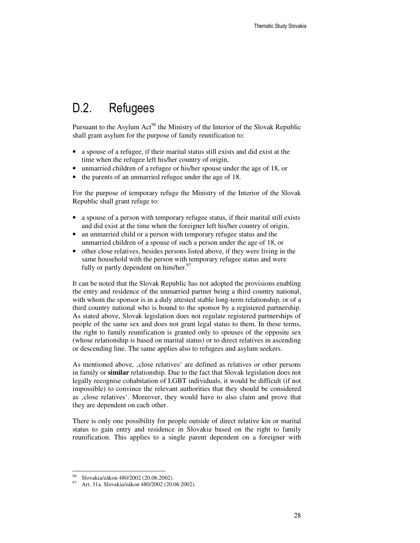### D.2. Refugees

Pursuant to the Asylum Act<sup>96</sup> the Ministry of the Interior of the Slovak Republic shall grant asylum for the purpose of family reunification to:

- a spouse of a refugee, if their marital status still exists and did exist at the time when the refugee left his/her country of origin,
- unmarried children of a refugee or his/her spouse under the age of 18, or
- the parents of an unmarried refugee under the age of 18.

For the purpose of temporary refuge the Ministry of the Interior of the Slovak Republic shall grant refuge to:

- a spouse of a person with temporary refugee status, if their marital still exists and did exist at the time when the foreigner left his/her country of origin,
- an unmarried child or a person with temporary refugee status and the unmarried children of a spouse of such a person under the age of 18, or
- other close relatives, besides persons listed above, if they were living in the same household with the person with temporary refugee status and were fully or partly dependent on him/her. $97$

It can be noted that the Slovak Republic has not adopted the provisions enabling the entry and residence of the unmarried partner being a third country national, with whom the sponsor is in a duly attested stable long-term relationship, or of a third country national who is bound to the sponsor by a registered partnership. As stated above, Slovak legislation does not regulate registered partnerships of people of the same sex and does not grant legal status to them. In these terms, the right to family reunification is granted only to spouses of the opposite sex (whose relationship is based on marital status) or to direct relatives in ascending or descending line. The same applies also to refugees and asylum seekers.

As mentioned above, , close relatives' are defined as relatives or other persons in family or **similar** relationship. Due to the fact that Slovak legislation does not legally recognise cohabitation of LGBT individuals, it would be difficult (if not impossible) to convince the relevant authorities that they should be considered as , close relatives'. Moreover, they would have to also claim and prove that they are dependent on each other.

There is only one possibility for people outside of direct relative kin or marital status to gain entry and residence in Slovakia based on the right to family reunification. This applies to a single parent dependent on a foreigner with

l

<sup>96</sup> Slovakia/zákon 480/2002 (20.06.2002).

<sup>97</sup> Art. 31a. Slovakia/zákon 480/2002 (20.06.2002).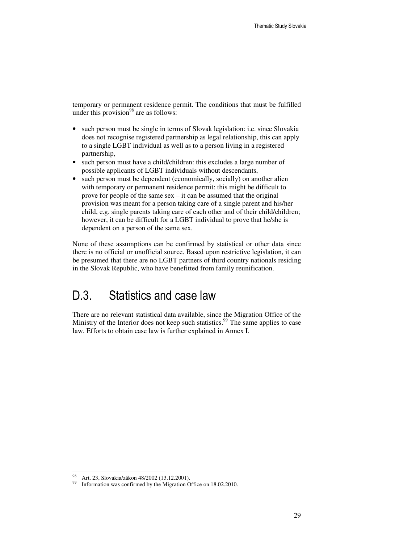temporary or permanent residence permit. The conditions that must be fulfilled under this provision $^{98}$  are as follows:

- such person must be single in terms of Slovak legislation: i.e. since Slovakia does not recognise registered partnership as legal relationship, this can apply to a single LGBT individual as well as to a person living in a registered partnership,
- such person must have a child/children: this excludes a large number of possible applicants of LGBT individuals without descendants,
- such person must be dependent (economically, socially) on another alien with temporary or permanent residence permit: this might be difficult to prove for people of the same sex – it can be assumed that the original provision was meant for a person taking care of a single parent and his/her child, e.g. single parents taking care of each other and of their child/children; however, it can be difficult for a LGBT individual to prove that he/she is dependent on a person of the same sex.

None of these assumptions can be confirmed by statistical or other data since there is no official or unofficial source. Based upon restrictive legislation, it can be presumed that there are no LGBT partners of third country nationals residing in the Slovak Republic, who have benefitted from family reunification.

### D.3. Statistics and case law

There are no relevant statistical data available, since the Migration Office of the Ministry of the Interior does not keep such statistics.<sup>99</sup> The same applies to case law. Efforts to obtain case law is further explained in Annex I.

l

Art. 23, Slovakia/zákon 48/2002 (13.12.2001).

Information was confirmed by the Migration Office on 18.02.2010.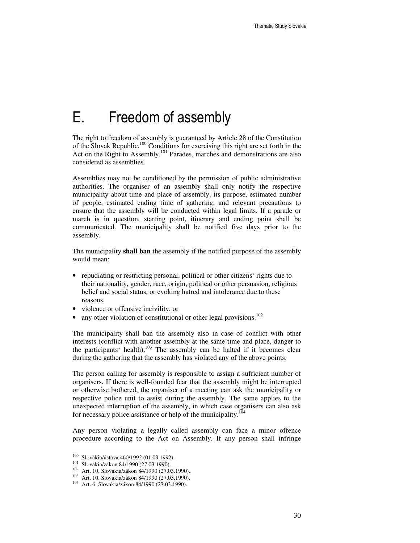# E. Freedom of assembly

The right to freedom of assembly is guaranteed by Article 28 of the Constitution of the Slovak Republic.<sup>100</sup> Conditions for exercising this right are set forth in the Act on the Right to Assembly.<sup>101</sup> Parades, marches and demonstrations are also considered as assemblies.

Assemblies may not be conditioned by the permission of public administrative authorities. The organiser of an assembly shall only notify the respective municipality about time and place of assembly, its purpose, estimated number of people, estimated ending time of gathering, and relevant precautions to ensure that the assembly will be conducted within legal limits. If a parade or march is in question, starting point, itinerary and ending point shall be communicated. The municipality shall be notified five days prior to the assembly.

The municipality **shall ban** the assembly if the notified purpose of the assembly would mean:

- repudiating or restricting personal, political or other citizens' rights due to their nationality, gender, race, origin, political or other persuasion, religious belief and social status, or evoking hatred and intolerance due to these reasons,
- violence or offensive incivility, or
- any other violation of constitutional or other legal provisions.<sup>102</sup>

The municipality shall ban the assembly also in case of conflict with other interests (conflict with another assembly at the same time and place, danger to the participants' health).<sup>103</sup> The assembly can be halted if it becomes clear during the gathering that the assembly has violated any of the above points.

The person calling for assembly is responsible to assign a sufficient number of organisers. If there is well-founded fear that the assembly might be interrupted or otherwise bothered, the organiser of a meeting can ask the municipality or respective police unit to assist during the assembly. The same applies to the unexpected interruption of the assembly, in which case organisers can also ask for necessary police assistance or help of the municipality.<sup>1</sup>

Any person violating a legally called assembly can face a minor offence procedure according to the Act on Assembly. If any person shall infringe

<sup>100</sup> <sup>100</sup> Slovakia/ústava 460/1992 (01.09.1992).

<sup>101</sup> Slovakia/zákon 84/1990 (27.03.1990).

<sup>102</sup> Art. 10, Slovakia/zákon 84/1990 (27.03.1990)..

<sup>103</sup> Art. 10. Slovakia/zákon 84/1990 (27.03.1990).

<sup>&</sup>lt;sup>104</sup> Art. 6. Slovakia/zákon 84/1990 (27.03.1990).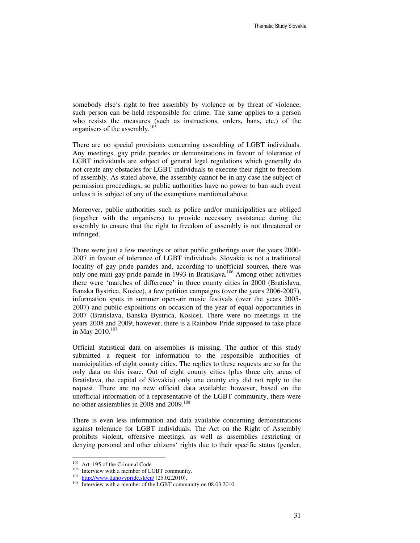somebody else's right to free assembly by violence or by threat of violence, such person can be held responsible for crime. The same applies to a person who resists the measures (such as instructions, orders, bans, etc.) of the organisers of the assembly.<sup>10</sup>

There are no special provisions concerning assembling of LGBT individuals. Any meetings, gay pride parades or demonstrations in favour of tolerance of LGBT individuals are subject of general legal regulations which generally do not create any obstacles for LGBT individuals to execute their right to freedom of assembly. As stated above, the assembly cannot be in any case the subject of permission proceedings, so public authorities have no power to ban such event unless it is subject of any of the exemptions mentioned above.

Moreover, public authorities such as police and/or municipalities are obliged (together with the organisers) to provide necessary assistance during the assembly to ensure that the right to freedom of assembly is not threatened or infringed.

There were just a few meetings or other public gatherings over the years 2000- 2007 in favour of tolerance of LGBT individuals. Slovakia is not a traditional locality of gay pride parades and, according to unofficial sources, there was only one mini gay pride parade in 1993 in Bratislava.<sup>106</sup> Among other activities there were 'marches of difference' in three county cities in 2000 (Bratislava, Banska Bystrica, Kosice), a few petition campaigns (over the years 2006-2007), information spots in summer open-air music festivals (over the years 2005- 2007) and public expositions on occasion of the year of equal opportunities in 2007 (Bratislava, Banska Bystrica, Kosice). There were no meetings in the years 2008 and 2009; however, there is a Rainbow Pride supposed to take place in May 2010. $107$ 

Official statistical data on assemblies is missing. The author of this study submitted a request for information to the responsible authorities of municipalities of eight county cities. The replies to these requests are so far the only data on this issue. Out of eight county cities (plus three city areas of Bratislava, the capital of Slovakia) only one county city did not reply to the request. There are no new official data available; however, based on the unofficial information of a representative of the LGBT community, there were no other assiemblies in 2008 and 2009.<sup>108</sup>

There is even less information and data available concerning demonstrations against tolerance for LGBT individuals. The Act on the Right of Assembly prohibits violent, offensive meetings, as well as assemblies restricting or denying personal and other citizens' rights due to their specific status (gender,

<sup>105</sup> Art. 195 of the Criminal Code

<sup>106</sup> Interview with a member of LGBT community.

 $107$  http://www.duhovypride.sk/en/ (25.02.2010).

<sup>&</sup>lt;sup>108</sup> Interview with a member of the LGBT community on 08.03.2010.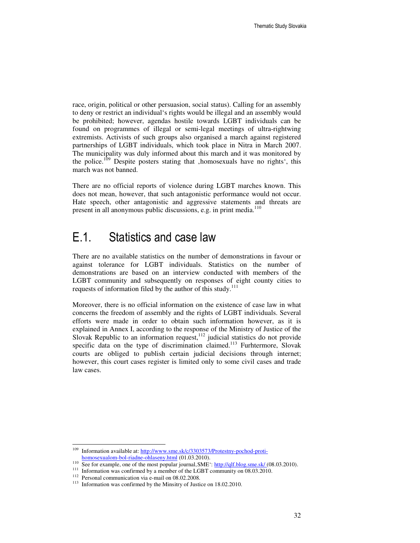race, origin, political or other persuasion, social status). Calling for an assembly to deny or restrict an individual's rights would be illegal and an assembly would be prohibited; however, agendas hostile towards LGBT individuals can be found on programmes of illegal or semi-legal meetings of ultra-rightwing extremists. Activists of such groups also organised a march against registered partnerships of LGBT individuals, which took place in Nitra in March 2007. The municipality was duly informed about this march and it was monitored by the police.<sup>109</sup> Despite posters stating that , homosexuals have no rights', this march was not banned.

There are no official reports of violence during LGBT marches known. This does not mean, however, that such antagonistic performance would not occur. Hate speech, other antagonistic and aggressive statements and threats are present in all anonymous public discussions, e.g. in print media.<sup>110</sup>

### E.1. Statistics and case law

There are no available statistics on the number of demonstrations in favour or against tolerance for LGBT individuals. Statistics on the number of demonstrations are based on an interview conducted with members of the LGBT community and subsequently on responses of eight county cities to requests of information filed by the author of this study. $111$ 

Moreover, there is no official information on the existence of case law in what concerns the freedom of assembly and the rights of LGBT individuals. Several efforts were made in order to obtain such information however, as it is explained in Annex I, according to the response of the Ministry of Justice of the Slovak Republic to an information request, $112$  judicial statistics do not provide specific data on the type of discrimination claimed.<sup>113</sup> Furhtermore, Slovak courts are obliged to publish certain judicial decisions through internet; however, this court cases register is limited only to some civil cases and trade law cases.

<sup>109</sup> Information available at: http://www.sme.sk/c/3303573/Protestny-pochod-protihomosexualom-bol-riadne-ohlaseny.html (01.03.2010).

<sup>110</sup> See for example, one of the most popular journal, SME<sup>'</sup>: http://qlf.blog.sme.sk/ (08.03.2010).

<sup>&</sup>lt;sup>111</sup> Information was confirmed by a member of the LGBT community on 08.03.2010.

 $112$  Personal communication via e-mail on 08.02.2008.

<sup>113</sup> Information was confirmed by the Minsitry of Justice on 18.02.2010.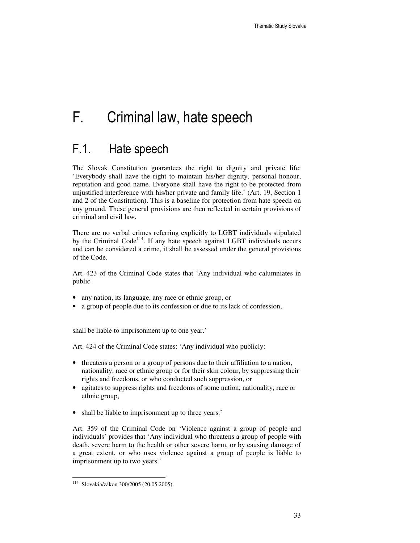# F. Criminal law, hate speech

### F.1. Hate speech

The Slovak Constitution guarantees the right to dignity and private life: 'Everybody shall have the right to maintain his/her dignity, personal honour, reputation and good name. Everyone shall have the right to be protected from unjustified interference with his/her private and family life.' (Art. 19, Section 1 and 2 of the Constitution). This is a baseline for protection from hate speech on any ground. These general provisions are then reflected in certain provisions of criminal and civil law.

There are no verbal crimes referring explicitly to LGBT individuals stipulated by the Criminal  $Code<sup>114</sup>$ . If any hate speech against LGBT individuals occurs and can be considered a crime, it shall be assessed under the general provisions of the Code.

Art. 423 of the Criminal Code states that 'Any individual who calumniates in public

- any nation, its language, any race or ethnic group, or
- a group of people due to its confession or due to its lack of confession,

shall be liable to imprisonment up to one year.'

Art. 424 of the Criminal Code states: 'Any individual who publicly:

- threatens a person or a group of persons due to their affiliation to a nation, nationality, race or ethnic group or for their skin colour, by suppressing their rights and freedoms, or who conducted such suppression, or
- agitates to suppress rights and freedoms of some nation, nationality, race or ethnic group,
- shall be liable to imprisonment up to three years.'

Art. 359 of the Criminal Code on 'Violence against a group of people and individuals' provides that 'Any individual who threatens a group of people with death, severe harm to the health or other severe harm, or by causing damage of a great extent, or who uses violence against a group of people is liable to imprisonment up to two years.'

l <sup>114</sup> Slovakia/zákon 300/2005 (20.05.2005).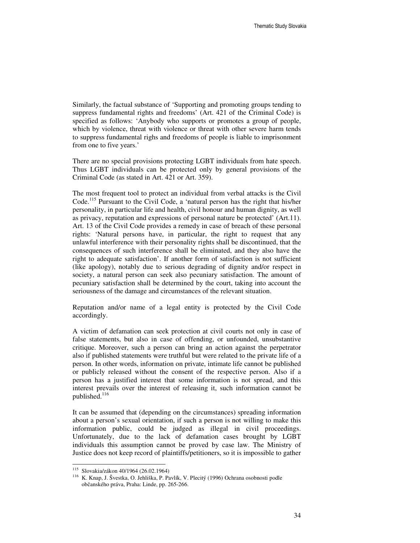Similarly, the factual substance of 'Supporting and promoting groups tending to suppress fundamental rights and freedoms' (Art. 421 of the Criminal Code) is specified as follows: 'Anybody who supports or promotes a group of people, which by violence, threat with violence or threat with other severe harm tends to suppress fundamental righs and freedoms of people is liable to imprisonment from one to five years.'

There are no special provisions protecting LGBT individuals from hate speech. Thus LGBT individuals can be protected only by general provisions of the Criminal Code (as stated in Art. 421 or Art. 359).

The most frequent tool to protect an individual from verbal attacks is the Civil Code.<sup>115</sup> Pursuant to the Civil Code, a 'natural person has the right that his/her personality, in particular life and health, civil honour and human dignity, as well as privacy, reputation and expressions of personal nature be protected' (Art.11). Art. 13 of the Civil Code provides a remedy in case of breach of these personal rights: 'Natural persons have, in particular, the right to request that any unlawful interference with their personality rights shall be discontinued, that the consequences of such interference shall be eliminated, and they also have the right to adequate satisfaction'. If another form of satisfaction is not sufficient (like apology), notably due to serious degrading of dignity and/or respect in society, a natural person can seek also pecuniary satisfaction. The amount of pecuniary satisfaction shall be determined by the court, taking into account the seriousness of the damage and circumstances of the relevant situation.

Reputation and/or name of a legal entity is protected by the Civil Code accordingly.

A victim of defamation can seek protection at civil courts not only in case of false statements, but also in case of offending, or unfounded, unsubstantive critique. Moreover, such a person can bring an action against the perpetrator also if published statements were truthful but were related to the private life of a person. In other words, information on private, intimate life cannot be published or publicly released without the consent of the respective person. Also if a person has a justified interest that some information is not spread, and this interest prevails over the interest of releasing it, such information cannot be published.<sup>116</sup>

It can be assumed that (depending on the circumstances) spreading information about a person's sexual orientation, if such a person is not willing to make this information public, could be judged as illegal in civil proceedings. Unfortunately, due to the lack of defamation cases brought by LGBT individuals this assumption cannot be proved by case law. The Ministry of Justice does not keep record of plaintiffs/petitioners, so it is impossible to gather

l

<sup>115</sup> Slovakia/zákon 40/1964 (26.02.1964)

<sup>116</sup> K. Knap, J. Švestka, O. Jehliška, P. Pavlík, V. Plecitý (1996) Ochrana osobnosti podle občanského práva, Praha: Linde, pp. 265-266.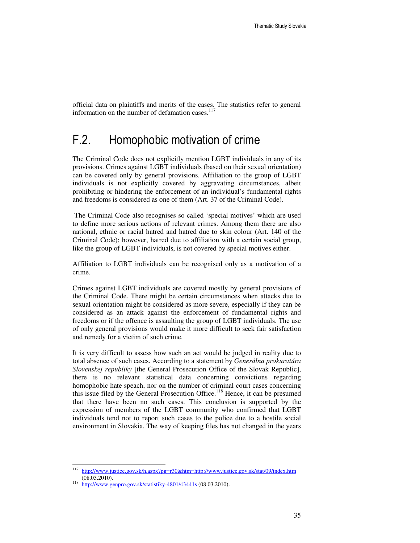official data on plaintiffs and merits of the cases. The statistics refer to general information on the number of defamation cases.<sup>117</sup>

### F.2. Homophobic motivation of crime

The Criminal Code does not explicitly mention LGBT individuals in any of its provisions. Crimes against LGBT individuals (based on their sexual orientation) can be covered only by general provisions. Affiliation to the group of LGBT individuals is not explicitly covered by aggravating circumstances, albeit prohibiting or hindering the enforcement of an individual's fundamental rights and freedoms is considered as one of them (Art. 37 of the Criminal Code).

 The Criminal Code also recognises so called 'special motives' which are used to define more serious actions of relevant crimes. Among them there are also national, ethnic or racial hatred and hatred due to skin colour (Art. 140 of the Criminal Code); however, hatred due to affiliation with a certain social group, like the group of LGBT individuals, is not covered by special motives either.

Affiliation to LGBT individuals can be recognised only as a motivation of a crime.

Crimes against LGBT individuals are covered mostly by general provisions of the Criminal Code. There might be certain circumstances when attacks due to sexual orientation might be considered as more severe, especially if they can be considered as an attack against the enforcement of fundamental rights and freedoms or if the offence is assaulting the group of LGBT individuals. The use of only general provisions would make it more difficult to seek fair satisfaction and remedy for a victim of such crime.

It is very difficult to assess how such an act would be judged in reality due to total absence of such cases. According to a statement by *Generálna prokuratúra Slovenskej republiky* [the General Prosecution Office of the Slovak Republic], there is no relevant statistical data concerning convictions regarding homophobic hate speach, nor on the number of criminal court cases concerning this issue filed by the General Prosecution Office.<sup>118</sup> Hence, it can be presumed that there have been no such cases. This conclusion is supported by the expression of members of the LGBT community who confirmed that LGBT individuals tend not to report such cases to the police due to a hostile social environment in Slovakia. The way of keeping files has not changed in the years

l

<sup>117</sup> http://www.justice.gov.sk/h.aspx?pg=r30&htm=http://www.justice.gov.sk/stat/09/index.htm (08.03.2010). 118

http://www.genpro.gov.sk/statistiky-4801/43441s (08.03.2010).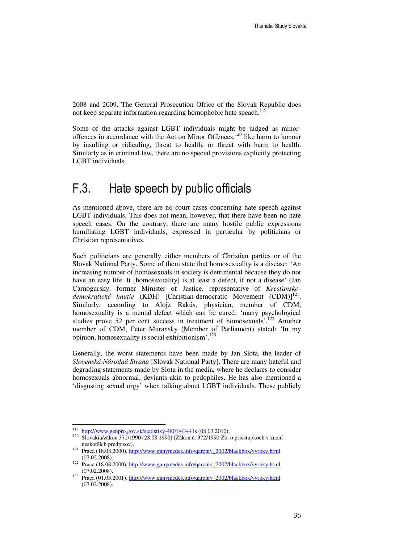2008 and 2009. The General Prosecution Office of the Slovak Republic does not keep separate information regarding homophobic hate speach.<sup>119</sup>

Some of the attacks against LGBT individuals might be judged as minoroffences in accordance with the Act on Minor Offences,<sup>120</sup> like harm to honour by insulting or ridiculing, threat to health, or threat with harm to health. Similarly as in criminal law, there are no special provisions explicitly protecting LGBT individuals.

### F.3. Hate speech by public officials

As mentioned above, there are no court cases concerning hate speech against LGBT individuals. This does not mean, however, that there have been no hate speech cases. On the contrary, there are many hostile public expressions humiliating LGBT individuals, expressed in particular by politicians or Christian representatives.

Such politicians are generally either members of Christian parties or of the Slovak National Party. Some of them state that homosexuality is a disease: 'An increasing number of homosexuals in society is detrimental because they do not have an easy life. It [homosexuality] is at least a defect, if not a disease' (Jan Carnogursky, former Minister of Justice, representative of *Kres*ť*ansko*demokratické hnutie (KDH) [Christian-democratic Movement (CDM)]<sup>121</sup>. Similarly, according to Alojz Rakús, physician, member of CDM, homosexuality is a mental defect which can be cured; 'many psychological studies prove 52 per cent success in treatment of homosexuals'.<sup>122</sup> Another member of CDM, Peter Muransky (Member of Parliament) stated: 'In my opinion, homosexuality is social exhibitionism'.<sup>123</sup>

Generally, the worst statements have been made by Jan Slota, the leader of *Slovenská Národná Strana* [Slovak National Party]. There are many hateful and degrading statements made by Slota in the media, where he declares to consider homosexuals abnormal, deviants akin to pedophiles. He has also mentioned a 'disgusting sexual orgy' when talking about LGBT individuals. These publicly

 119 http://www.genpro.gov.sk/statistiky-4801/43441s (08.03.2010).

<sup>120</sup> Slovakia/zákon 372/1990 (28.08.1990) (Zákon č. 372/1990 Zb. o priestupkoch v znení neskorších predpisov).

<sup>&</sup>lt;sup>121</sup> Praca (18.08.2000), http://www.ganymedes.info/qarchiv\_2002/blackbox/vyroky.html (07.02.2008).

<sup>122</sup> Praca (18.08.2000), http://www.ganymedes.info/qarchiv\_2002/blackbox/vyroky.html (07.02.2008).

<sup>123</sup> Praca (01.03.2001), http://www.ganymedes.info/qarchiv\_2002/blackbox/vyroky.html (07.02.2008).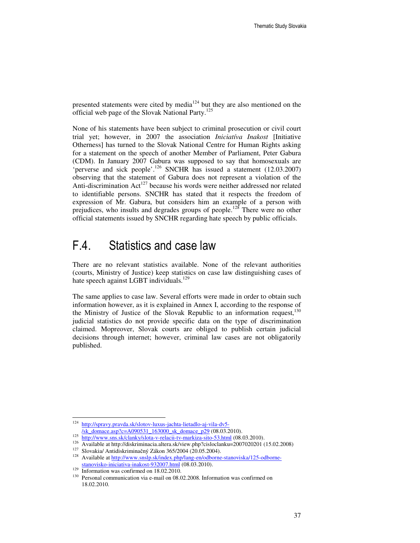presented statements were cited by media $124$  but they are also mentioned on the official web page of the Slovak National Party.<sup>125</sup>

None of his statements have been subject to criminal prosecution or civil court trial yet; however, in 2007 the association *Iniciatíva Inakost* [Initiative Otherness] has turned to the Slovak National Centre for Human Rights asking for a statement on the speech of another Member of Parliament, Peter Gabura (CDM). In January 2007 Gabura was supposed to say that homosexuals are 'perverse and sick people'.<sup>126</sup> SNCHR has issued a statement (12.03.2007) observing that the statement of Gabura does not represent a violation of the Anti-discrimination Act<sup>127</sup> because his words were neither addressed nor related to identifiable persons. SNCHR has stated that it respects the freedom of expression of Mr. Gabura, but considers him an example of a person with prejudices, who insults and degrades groups of people.<sup>128</sup> There were no other official statements issued by SNCHR regarding hate speech by public officials.

### F.4. Statistics and case law

There are no relevant statistics available. None of the relevant authorities (courts, Ministry of Justice) keep statistics on case law distinguishing cases of hate speech against LGBT individuals.<sup>129</sup>

The same applies to case law. Several efforts were made in order to obtain such information however, as it is explained in Annex I, according to the response of the Ministry of Justice of the Slovak Republic to an information request,<sup>130</sup> judicial statistics do not provide specific data on the type of discrimination claimed. Mopreover, Slovak courts are obliged to publish certain judicial decisions through internet; however, criminal law cases are not obligatorily published.

<sup>&</sup>lt;sup>1</sup>24 http://spravy.pravda.sk/slotov-luxus-jachta-lietadlo-aj-vila-dv5-

<sup>/</sup>sk\_domace.asp?c=A090531\_163000\_sk\_domace\_p29 (08.03.2010).

<sup>&</sup>lt;sup>125</sup> http://www.sns.sk/clanky/slota-v-relacii-tv-markiza-sito-53.html (08.03.2010).

<sup>126</sup> Available at http://diskriminacia.altera.sk/view.php?cisloclanku=2007020201 (15.02.2008)

<sup>&</sup>lt;sup>127</sup> Slovakia/ Antidiskriminačný Zákon 365/2004 (20.05.2004).

<sup>128</sup> Available at http://www.snslp.sk/index.php/lang-en/odborne-stanoviska/125-odbornestanovisko-iniciativa-inakost-932007.html (08.03.2010).

 $\frac{129}{2}$  Information was confirmed on 18.02.2010.

Personal communication via e-mail on 08.02.2008. Information was confirmed on 18.02.2010.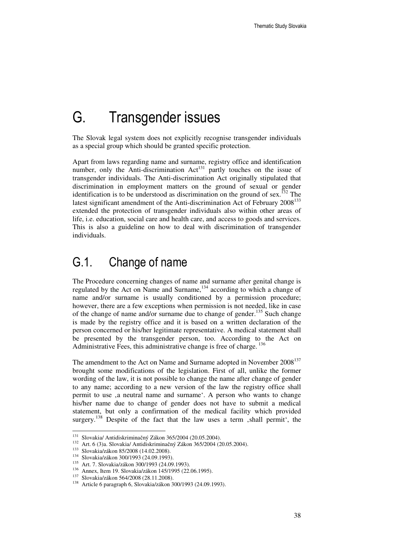# G. Transgender issues

The Slovak legal system does not explicitly recognise transgender individuals as a special group which should be granted specific protection.

Apart from laws regarding name and surname, registry office and identification number, only the Anti-discrimination Act<sup>131</sup> partly touches on the issue of transgender individuals. The Anti-discrimination Act originally stipulated that discrimination in employment matters on the ground of sexual or gender identification is to be understood as discrimination on the ground of sex.<sup>132</sup> The latest significant amendment of the Anti-discrimination Act of February 2008<sup>133</sup> extended the protection of transgender individuals also within other areas of life, i.e. education, social care and health care, and access to goods and services. This is also a guideline on how to deal with discrimination of transgender individuals.

### G.1. Change of name

The Procedure concerning changes of name and surname after genital change is regulated by the Act on Name and Surname,<sup>134</sup> according to which a change of name and/or surname is usually conditioned by a permission procedure; however, there are a few exceptions when permission is not needed, like in case of the change of name and/or surname due to change of gender.<sup>135</sup> Such change is made by the registry office and it is based on a written declaration of the person concerned or his/her legitimate representative. A medical statement shall be presented by the transgender person, too. According to the Act on Administrative Fees, this administrative change is free of charge.<sup>136</sup>

The amendment to the Act on Name and Surname adopted in November 2008<sup>137</sup> brought some modifications of the legislation. First of all, unlike the former wording of the law, it is not possible to change the name after change of gender to any name; according to a new version of the law the registry office shall permit to use ,a neutral name and surname'. A person who wants to change his/her name due to change of gender does not have to submit a medical statement, but only a confirmation of the medical facility which provided surgery.<sup>138</sup> Despite of the fact that the law uses a term , shall permit', the

<sup>&</sup>lt;sup>131</sup> Slovakia/ Antidiskriminačný Zákon 365/2004 (20.05.2004).

<sup>132</sup> Art. 6 (3)a. Slovakia/ Antidiskriminačný Zákon 365/2004 (20.05.2004).

<sup>133</sup> Slovakia/zákon 85/2008 (14.02.2008).

<sup>134</sup> Slovakia/zákon 300/1993 (24.09.1993).

<sup>135</sup> Art. 7. Slovakia/zákon 300/1993 (24.09.1993).

<sup>136</sup> Annex, Item 19. Slovakia/zákon 145/1995 (22.06.1995).

<sup>137</sup> Slovakia/zákon 564/2008 (28.11.2008).

<sup>138</sup> Article 6 paragraph 6, Slovakia/zákon 300/1993 (24.09.1993).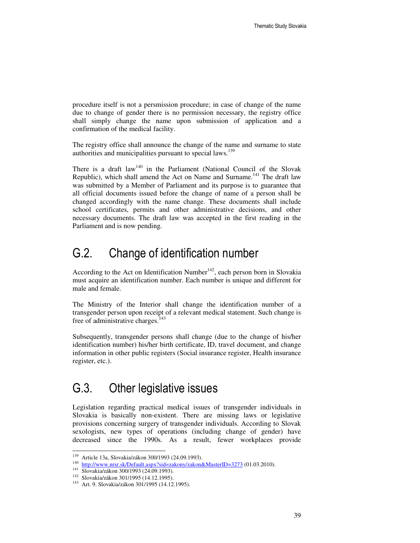procedure itself is not a persmission procedure; in case of change of the name due to change of gender there is no permission necessary, the registry office shall simply change the name upon submission of application and a confirmation of the medical facility.

The registry office shall announce the change of the name and surname to state authorities and municipalities pursuant to special laws.<sup>139</sup>

There is a draft law<sup>140</sup> in the Parliament (National Council of the Slovak Republic), which shall amend the Act on Name and Surname.<sup>141</sup> The draft law was submitted by a Member of Parliament and its purpose is to guarantee that all official documents issued before the change of name of a person shall be changed accordingly with the name change. These documents shall include school certificates, permits and other administrative decisions, and other necessary documents. The draft law was accepted in the first reading in the Parliament and is now pending.

### G.2. Change of identification number

According to the Act on Identification Number<sup>142</sup>, each person born in Slovakia must acquire an identification number. Each number is unique and different for male and female.

The Ministry of the Interior shall change the identification number of a transgender person upon receipt of a relevant medical statement. Such change is free of administrative charges.<sup>143</sup>

Subsequently, transgender persons shall change (due to the change of his/her identification number) his/her birth certificate, ID, travel document, and change information in other public registers (Social insurance register, Health insurance register, etc.).

#### G.3. Other legislative issues

Legislation regarding practical medical issues of transgender individuals in Slovakia is basically non-existent. There are missing laws or legislative provisions concerning surgery of transgender individuals. According to Slovak sexologists, new types of operations (including change of gender) have decreased since the 1990s. As a result, fewer workplaces provide

<sup>&</sup>lt;sup>139</sup> Article 13a, Slovakia/zákon 300/1993 (24.09.1993).

<sup>&</sup>lt;sup>140</sup> http://www.nrsr.sk/Default.aspx?sid=zakony/zakon&MasterID=3273 (01.03.2010).

<sup>141</sup> Slovakia/zákon 300/1993 (24.09.1993).

<sup>142</sup> Slovakia/zákon 301/1995 (14.12.1995).

<sup>143</sup> Art. 9. Slovakia/zákon 301/1995 (14.12.1995).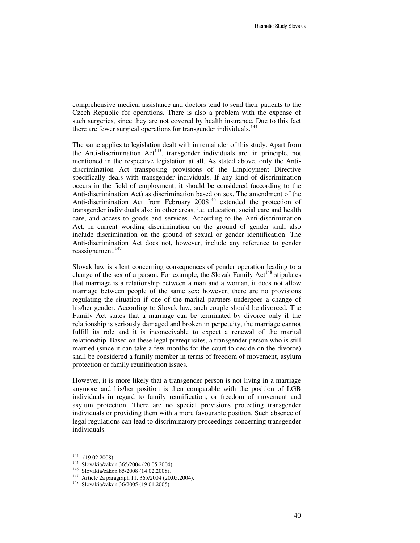comprehensive medical assistance and doctors tend to send their patients to the Czech Republic for operations. There is also a problem with the expense of such surgeries, since they are not covered by health insurance. Due to this fact there are fewer surgical operations for transgender individuals.<sup>144</sup>

The same applies to legislation dealt with in remainder of this study. Apart from the Anti-discrimination  $Act^{145}$ , transgender individuals are, in principle, not mentioned in the respective legislation at all. As stated above, only the Antidiscrimination Act transposing provisions of the Employment Directive specifically deals with transgender individuals. If any kind of discrimination occurs in the field of employment, it should be considered (according to the Anti-discrimination Act) as discrimination based on sex. The amendment of the Anti-discrimination Act from February  $2008^{146}$  extended the protection of transgender individuals also in other areas, i.e. education, social care and health care, and access to goods and services. According to the Anti-discrimination Act, in current wording discrimination on the ground of gender shall also include discrimination on the ground of sexual or gender identification. The Anti-discrimination Act does not, however, include any reference to gender reassignement. $147$ 

Slovak law is silent concerning consequences of gender operation leading to a change of the sex of a person. For example, the Slovak Family  $Act^{148}$  stipulates that marriage is a relationship between a man and a woman, it does not allow marriage between people of the same sex; however, there are no provisions regulating the situation if one of the marital partners undergoes a change of his/her gender. According to Slovak law, such couple should be divorced. The Family Act states that a marriage can be terminated by divorce only if the relationship is seriously damaged and broken in perpetuity, the marriage cannot fulfill its role and it is inconceivable to expect a renewal of the marital relationship. Based on these legal prerequisites, a transgender person who is still married (since it can take a few months for the court to decide on the divorce) shall be considered a family member in terms of freedom of movement, asylum protection or family reunification issues.

However, it is more likely that a transgender person is not living in a marriage anymore and his/her position is then comparable with the position of LGB individuals in regard to family reunification, or freedom of movement and asylum protection. There are no special provisions protecting transgender individuals or providing them with a more favourable position. Such absence of legal regulations can lead to discriminatory proceedings concerning transgender individuals.

 $144$  (19.02.2008).

<sup>145</sup> Slovakia/zákon 365/2004 (20.05.2004).

<sup>146</sup> Slovakia/zákon 85/2008 (14.02.2008).

<sup>&</sup>lt;sup>147</sup> Article 2a paragraph 11, 365/2004 (20.05.2004).

<sup>148</sup> Slovakia/zákon 36/2005 (19.01.2005)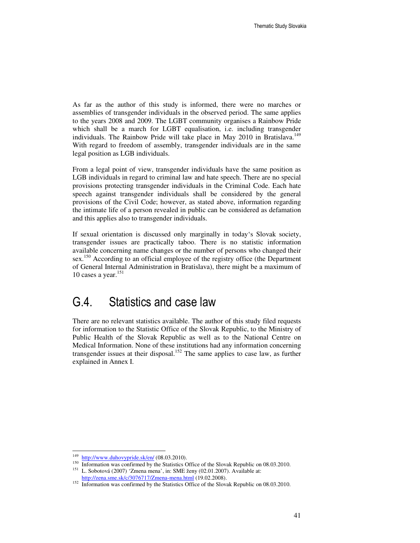As far as the author of this study is informed, there were no marches or assemblies of transgender individuals in the observed period. The same applies to the years 2008 and 2009. The LGBT community organises a Rainbow Pride which shall be a march for LGBT equalisation, i.e. including transgender individuals. The Rainbow Pride will take place in May 2010 in Bratislava.<sup>149</sup> With regard to freedom of assembly, transgender individuals are in the same legal position as LGB individuals.

From a legal point of view, transgender individuals have the same position as LGB individuals in regard to criminal law and hate speech. There are no special provisions protecting transgender individuals in the Criminal Code. Each hate speech against transgender individuals shall be considered by the general provisions of the Civil Code; however, as stated above, information regarding the intimate life of a person revealed in public can be considered as defamation and this applies also to transgender individuals.

If sexual orientation is discussed only marginally in today's Slovak society, transgender issues are practically taboo. There is no statistic information available concerning name changes or the number of persons who changed their sex.<sup>150</sup> According to an official employee of the registry office (the Department of General Internal Administration in Bratislava), there might be a maximum of 10 cases a year.<sup>151</sup>

### G.4. Statistics and case law

There are no relevant statistics available. The author of this study filed requests for information to the Statistic Office of the Slovak Republic, to the Ministry of Public Health of the Slovak Republic as well as to the National Centre on Medical Information. None of these institutions had any information concerning transgender issues at their disposal.<sup>152</sup> The same applies to case law, as further explained in Annex I.

<sup>149</sup> http://www.duhovypride.sk/en/ (08.03.2010).

<sup>&</sup>lt;sup>150</sup> Information was confirmed by the Statistics Office of the Slovak Republic on 08.03.2010. <sup>151</sup> L. Sobotová (2007) 'Zmena mena', in: SME ženy (02.01.2007). Available at: http://zena.sme.sk/c/3076717/Zmena-mena.html (19.02.2008).

<sup>&</sup>lt;sup>152</sup> Information was confirmed by the Statistics Office of the Slovak Republic on 08.03.2010.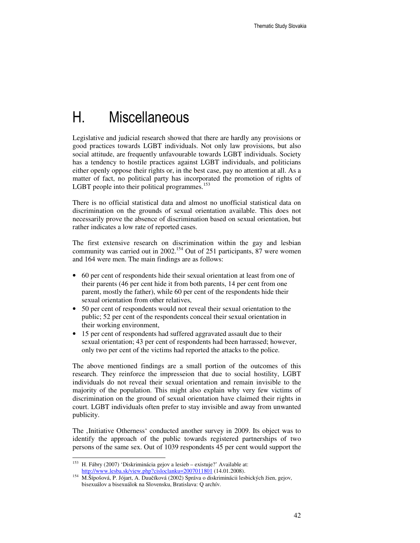# H. Miscellaneous

Legislative and judicial research showed that there are hardly any provisions or good practices towards LGBT individuals. Not only law provisions, but also social attitude, are frequently unfavourable towards LGBT individuals. Society has a tendency to hostile practices against LGBT individuals, and politicians either openly oppose their rights or, in the best case, pay no attention at all. As a matter of fact, no political party has incorporated the promotion of rights of LGBT people into their political programmes.<sup>153</sup>

There is no official statistical data and almost no unofficial statistical data on discrimination on the grounds of sexual orientation available. This does not necessarily prove the absence of discrimination based on sexual orientation, but rather indicates a low rate of reported cases.

The first extensive research on discrimination within the gay and lesbian community was carried out in 2002.<sup>154</sup> Out of 251 participants, 87 were women and 164 were men. The main findings are as follows:

- 60 per cent of respondents hide their sexual orientation at least from one of their parents (46 per cent hide it from both parents, 14 per cent from one parent, mostly the father), while 60 per cent of the respondents hide their sexual orientation from other relatives,
- 50 per cent of respondents would not reveal their sexual orientation to the public; 52 per cent of the respondents conceal their sexual orientation in their working environment,
- 15 per cent of respondents had suffered aggravated assault due to their sexual orientation; 43 per cent of respondents had been harrassed; however, only two per cent of the victims had reported the attacks to the police.

The above mentioned findings are a small portion of the outcomes of this research. They reinforce the impresseion that due to social hostility, LGBT individuals do not reveal their sexual orientation and remain invisible to the majority of the population. This might also explain why very few victims of discrimination on the ground of sexual orientation have claimed their rights in court. LGBT individuals often prefer to stay invisible and away from unwanted publicity.

The , Initiative Otherness' conducted another survey in 2009. Its object was to identify the approach of the public towards registered partnerships of two persons of the same sex. Out of 1039 respondents 45 per cent would support the

<sup>153</sup> H. Fábry (2007) 'Diskriminácia gejov a lesieb – existuje?' Available at: http://www.lesba.sk/view.php?cisloclanku=2007011801 (14.01.2008).

<sup>154</sup> M.Šípošová, P. Jójart, A. Daučíková (2002) Správa o diskriminácii lesbických žien, gejov, bisexuálov a bisexuálok na Slovensku, Bratislava: Q archív.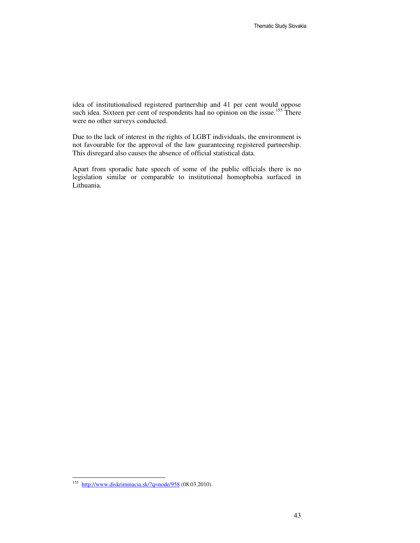idea of institutionalised registered partnership and 41 per cent would oppose such idea. Sixteen per cent of respondents had no opinion on the issue.<sup>155</sup> There were no other surveys conducted.

Due to the lack of interest in the rights of LGBT individuals, the environment is not favourable for the approval of the law guaranteeing registered partnership. This disregard also causes the absence of official statistical data.

Apart from sporadic hate speech of some of the public officials there is no legislation similar or comparable to institutional homophobia surfaced in Lithuania.

<sup>&</sup>lt;sup>155</sup> http://www.diskriminacia.sk/?q=node/958 (08.03.2010).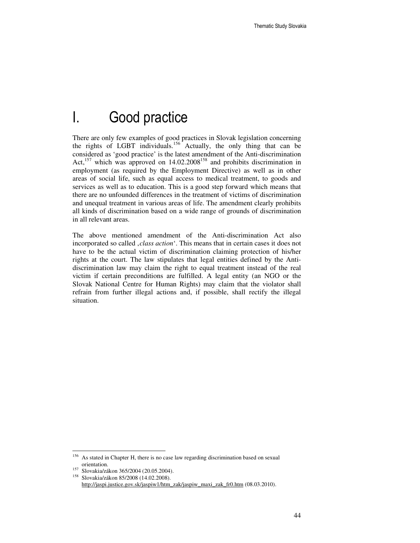# I. Good practice

There are only few examples of good practices in Slovak legislation concerning the rights of LGBT individuals.<sup>156</sup> Actually, the only thing that can be considered as 'good practice' is the latest amendment of the Anti-discrimination Act,<sup>157</sup> which was approved on 14.02.2008<sup>158</sup> and prohibits discrimination in employment (as required by the Employment Directive) as well as in other areas of social life, such as equal access to medical treatment, to goods and services as well as to education. This is a good step forward which means that there are no unfounded differences in the treatment of victims of discrimination and unequal treatment in various areas of life. The amendment clearly prohibits all kinds of discrimination based on a wide range of grounds of discrimination in all relevant areas.

The above mentioned amendment of the Anti-discrimination Act also incorporated so called *class action*<sup>4</sup>. This means that in certain cases it does not have to be the actual victim of discrimination claiming protection of his/her rights at the court. The law stipulates that legal entities defined by the Antidiscrimination law may claim the right to equal treatment instead of the real victim if certain preconditions are fulfilled. A legal entity (an NGO or the Slovak National Centre for Human Rights) may claim that the violator shall refrain from further illegal actions and, if possible, shall rectify the illegal situation.

<sup>156</sup> As stated in Chapter H, there is no case law regarding discrimination based on sexual orientation.

 $\frac{157}{158}$  Slovakia/zákon 365/2004 (20.05.2004).

<sup>158</sup> Slovakia/zákon 85/2008 (14.02.2008). http://jaspi.justice.gov.sk/jaspiw1/htm\_zak/jaspiw\_maxi\_zak\_fr0.htm (08.03.2010).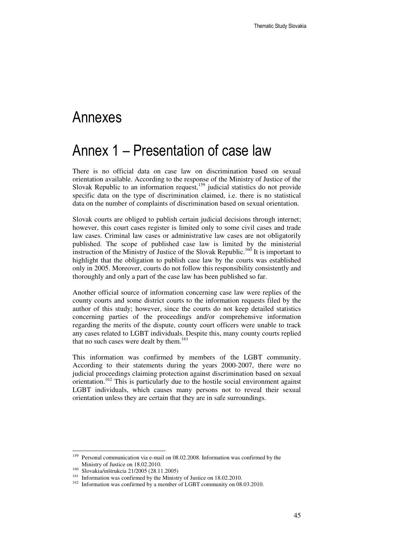### Annexes

### Annex 1 – Presentation of case law

There is no official data on case law on discrimination based on sexual orientation available. According to the response of the Ministry of Justice of the Slovak Republic to an information request,<sup>159</sup> judicial statistics do not provide specific data on the type of discrimination claimed, i.e. there is no statistical data on the number of complaints of discrimination based on sexual orientation.

Slovak courts are obliged to publish certain judicial decisions through internet; however, this court cases register is limited only to some civil cases and trade law cases. Criminal law cases or administrative law cases are not obligatorily published. The scope of published case law is limited by the ministerial instruction of the Ministry of Justice of the Slovak Republic.<sup>160</sup> It is important to highlight that the obligation to publish case law by the courts was established only in 2005. Moreover, courts do not follow this responsibility consistently and thoroughly and only a part of the case law has been published so far.

Another official source of information concerning case law were replies of the county courts and some district courts to the information requests filed by the author of this study; however, since the courts do not keep detailed statistics concerning parties of the proceedings and/or comprehensive information regarding the merits of the dispute, county court officers were unable to track any cases related to LGBT individuals. Despite this, many county courts replied that no such cases were dealt by them.<sup>161</sup>

This information was confirmed by members of the LGBT community. According to their statements during the years 2000-2007, there were no judicial proceedings claiming protection against discrimination based on sexual orientation.<sup>162</sup> This is particularly due to the hostile social environment against LGBT individuals, which causes many persons not to reveal their sexual orientation unless they are certain that they are in safe surroundings.

<sup>159</sup> Personal communication via e-mail on 08.02.2008. Information was confirmed by the Ministry of Justice on 18.02.2010.

<sup>160</sup> Slovakia/inštrukcia 21/2005 (28.11.2005)

<sup>&</sup>lt;sup>161</sup> Information was confirmed by the Ministry of Justice on 18.02.2010.

<sup>&</sup>lt;sup>162</sup> Information was confirmed by a member of LGBT community on 08.03.2010.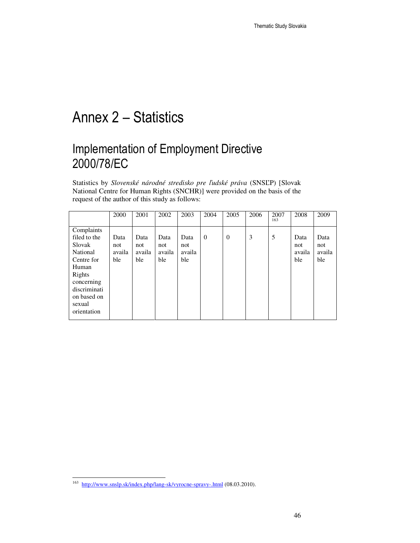# Annex 2 – Statistics

### Implementation of Employment Directive 2000/78/EC

Statistics by *Slovenské národné stredisko pre* ľ*udské práva* (SNSĽP) [Slovak National Centre for Human Rights (SNCHR)] were provided on the basis of the request of the author of this study as follows:

|                                                                                                                                                         | 2000                         | 2001                         | 2002                         | 2003                         | 2004     | 2005             | 2006 | 2007<br>163 | 2008                         | 2009                         |
|---------------------------------------------------------------------------------------------------------------------------------------------------------|------------------------------|------------------------------|------------------------------|------------------------------|----------|------------------|------|-------------|------------------------------|------------------------------|
| Complaints<br>filed to the<br>Slovak<br>National<br>Centre for<br>Human<br>Rights<br>concerning<br>discriminati<br>on based on<br>sexual<br>orientation | Data<br>not<br>availa<br>ble | Data<br>not<br>availa<br>ble | Data<br>not<br>availa<br>ble | Data<br>not<br>availa<br>ble | $\theta$ | $\boldsymbol{0}$ | 3    | 5           | Data<br>not<br>availa<br>ble | Data<br>not<br>availa<br>ble |

<sup>&</sup>lt;sup>163</sup> http://www.snslp.sk/index.php/lang-sk/vyrocne-spravy-.html (08.03.2010).